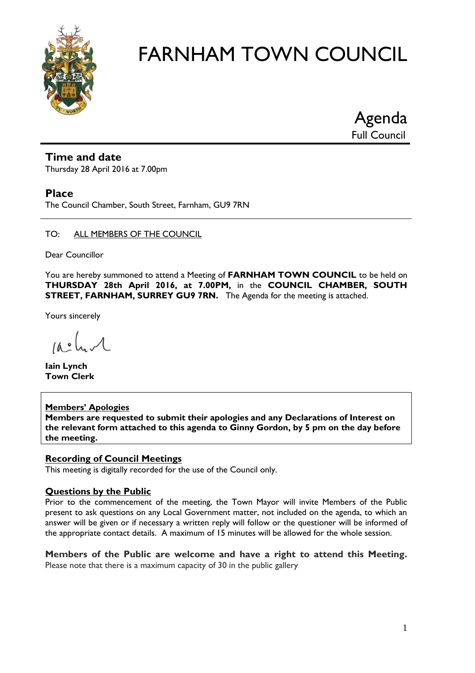

Agenda Full Council

#### **Time and date**

Thursday 28 April 2016 at 7.00pm

#### **Place**

The Council Chamber, South Street, Farnham, GU9 7RN

#### TO: ALL MEMBERS OF THE COUNCIL

Dear Councillor

You are hereby summoned to attend a Meeting of **FARNHAM TOWN COUNCIL** to be held on **THURSDAY 28th April 2016, at 7.00PM,** in the **COUNCIL CHAMBER, SOUTH STREET, FARNHAM, SURREY GU9 7RN.** The Agenda for the meeting is attached.

Yours sincerely

 $10.0$ 

**Iain Lynch Town Clerk**

**Members' Apologies Members are requested to submit their apologies and any Declarations of Interest on the relevant form attached to this agenda to Ginny Gordon, by 5 pm on the day before the meeting.**

#### **Recording of Council Meetings**

This meeting is digitally recorded for the use of the Council only.

#### **Questions by the Public**

Prior to the commencement of the meeting, the Town Mayor will invite Members of the Public present to ask questions on any Local Government matter, not included on the agenda, to which an answer will be given or if necessary a written reply will follow or the questioner will be informed of the appropriate contact details. A maximum of 15 minutes will be allowed for the whole session.

**Members of the Public are welcome and have a right to attend this Meeting.**  Please note that there is a maximum capacity of 30 in the public gallery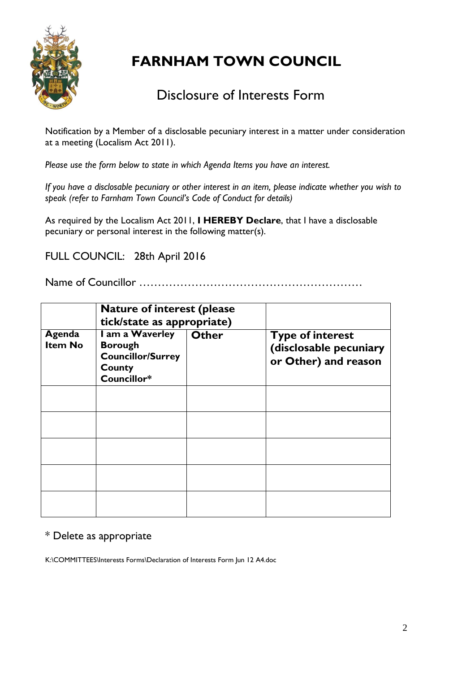

### Disclosure of Interests Form

Notification by a Member of a disclosable pecuniary interest in a matter under consideration at a meeting (Localism Act 2011).

*Please use the form below to state in which Agenda Items you have an interest.* 

*If you have a disclosable pecuniary or other interest in an item, please indicate whether you wish to speak (refer to Farnham Town Council's Code of Conduct for details)*

As required by the Localism Act 2011, **I HEREBY Declare**, that I have a disclosable pecuniary or personal interest in the following matter(s).

FULL COUNCIL: 28th April 2016

Name of Councillor ……………………………………………………

|                          | <b>Nature of interest (please)</b><br>tick/state as appropriate)                       |              |                                                                           |  |  |
|--------------------------|----------------------------------------------------------------------------------------|--------------|---------------------------------------------------------------------------|--|--|
| Agenda<br><b>Item No</b> | I am a Waverley<br><b>Borough</b><br><b>Councillor/Surrey</b><br>County<br>Councillor* | <b>Other</b> | <b>Type of interest</b><br>(disclosable pecuniary<br>or Other) and reason |  |  |
|                          |                                                                                        |              |                                                                           |  |  |
|                          |                                                                                        |              |                                                                           |  |  |
|                          |                                                                                        |              |                                                                           |  |  |
|                          |                                                                                        |              |                                                                           |  |  |
|                          |                                                                                        |              |                                                                           |  |  |

#### \* Delete as appropriate

K:\COMMITTEES\Interests Forms\Declaration of Interests Form Jun 12 A4.doc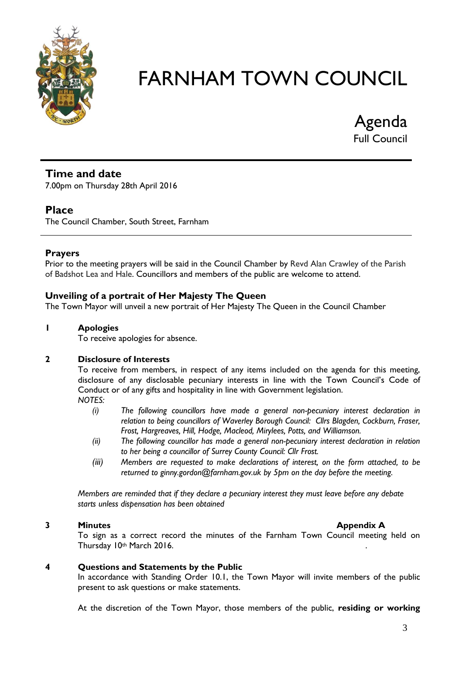

Agenda Full Council

#### **Time and date**

7.00pm on Thursday 28th April 2016

#### **Place**

The Council Chamber, South Street, Farnham

#### **Prayers**

Prior to the meeting prayers will be said in the Council Chamber by Revd Alan Crawley of the Parish of Badshot Lea and Hale. Councillors and members of the public are welcome to attend.

#### **Unveiling of a portrait of Her Majesty The Queen**

The Town Mayor will unveil a new portrait of Her Majesty The Queen in the Council Chamber

#### **1 Apologies**

To receive apologies for absence.

#### **2 Disclosure of Interests**

To receive from members, in respect of any items included on the agenda for this meeting, disclosure of any disclosable pecuniary interests in line with the Town Council's Code of Conduct or of any gifts and hospitality in line with Government legislation.

- *NOTES:*
	- *(i) The following councillors have made a general non-pecuniary interest declaration in relation to being councillors of Waverley Borough Council: Cllrs Blagden, Cockburn, Fraser, Frost, Hargreaves, Hill, Hodge, Macleod, Mirylees, Potts, and Williamson.*
	- *(ii) The following councillor has made a general non-pecuniary interest declaration in relation to her being a councillor of Surrey County Council: Cllr Frost.*
	- *(iii) Members are requested to make declarations of interest, on the form attached, to be returned to ginny.gordon@farnham.gov.uk by 5pm on the day before the meeting.*

*Members are reminded that if they declare a pecuniary interest they must leave before any debate starts unless dispensation has been obtained*

#### **3 Minutes Appendix A**

To sign as a correct record the minutes of the Farnham Town Council meeting held on Thursday 10th March 2016.

#### **4 Questions and Statements by the Public**

In accordance with Standing Order 10.1, the Town Mayor will invite members of the public present to ask questions or make statements.

At the discretion of the Town Mayor, those members of the public, **residing or working**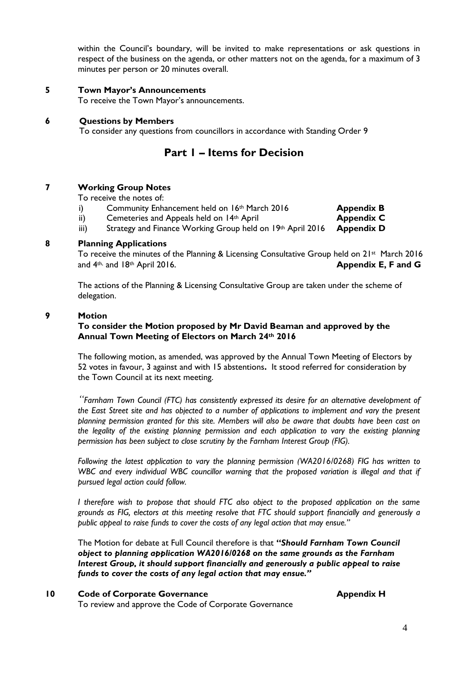within the Council's boundary, will be invited to make representations or ask questions in respect of the business on the agenda, or other matters not on the agenda, for a maximum of 3 minutes per person or 20 minutes overall.

**5 Town Mayor's Announcements**

To receive the Town Mayor's announcements.

**6 Questions by Members** To consider any questions from councillors in accordance with Standing Order 9

#### **Part 1 – Items for Decision**

#### **7 Working Group Notes**

To receive the notes of:

- i) Community Enhancement held on 16<sup>th</sup> March 2016 **Appendix B**
- ii) Cemeteries and Appeals held on 14<sup>th</sup> April **Appendix C**
- iii) Strategy and Finance Working Group held on 19th April 2016 **Appendix D**

#### **8 Planning Applications**

To receive the minutes of the Planning & Licensing Consultative Group held on 21st March 2016 and 4th, and 18th April 2016. **Appendix E, F and G**

The actions of the Planning & Licensing Consultative Group are taken under the scheme of delegation.

#### **9 Motion**

#### **To consider the Motion proposed by Mr David Beaman and approved by the Annual Town Meeting of Electors on March 24th 2016**

The following motion, as amended, was approved by the Annual Town Meeting of Electors by 52 votes in favour, 3 against and with 15 abstentions**.** It stood referred for consideration by the Town Council at its next meeting.

*"Farnham Town Council (FTC) has consistently expressed its desire for an alternative development of the East Street site and has objected to a number of applications to implement and vary the present planning permission granted for this site. Members will also be aware that doubts have been cast on the legality of the existing planning permission and each application to vary the existing planning permission has been subject to close scrutiny by the Farnham Interest Group (FIG).* 

*Following the latest application to vary the planning permission (WA2016/0268) FIG has written to*  WBC and every individual WBC councillor warning that the proposed variation is illegal and that if *pursued legal action could follow.* 

*I therefore wish to propose that should FTC also object to the proposed application on the same grounds as FIG, electors at this meeting resolve that FTC should support financially and generously a public appeal to raise funds to cover the costs of any legal action that may ensue."*

The Motion for debate at Full Council therefore is that **"***Should Farnham Town Council object to planning application WA2016/0268 on the same grounds as the Farnham Interest Group, it should support financially and generously a public appeal to raise funds to cover the costs of any legal action that may ensue."*

**10 Code of Corporate Governance Appendix H** 

To review and approve the Code of Corporate Governance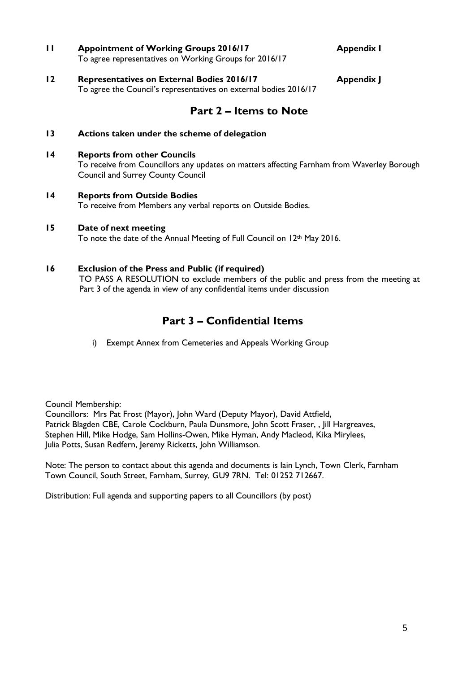- **11 Appointment of Working Groups 2016/17 Appendix I** To agree representatives on Working Groups for 2016/17
- **12 Representatives on External Bodies 2016/17 Appendix J** To agree the Council's representatives on external bodies 2016/17

#### **Part 2 – Items to Note**

- **13 Actions taken under the scheme of delegation**
- **14 Reports from other Councils**

To receive from Councillors any updates on matters affecting Farnham from Waverley Borough Council and Surrey County Council

- **14 Reports from Outside Bodies** To receive from Members any verbal reports on Outside Bodies.
- **15 Date of next meeting**

To note the date of the Annual Meeting of Full Council on 12<sup>th</sup> May 2016.

#### **16 Exclusion of the Press and Public (if required)**

TO PASS A RESOLUTION to exclude members of the public and press from the meeting at Part 3 of the agenda in view of any confidential items under discussion

#### **Part 3 – Confidential Items**

i) Exempt Annex from Cemeteries and Appeals Working Group

Council Membership:

Councillors: Mrs Pat Frost (Mayor), John Ward (Deputy Mayor), David Attfield, Patrick Blagden CBE, Carole Cockburn, Paula Dunsmore, John Scott Fraser,, Jill Hargreaves, Stephen Hill, Mike Hodge, Sam Hollins-Owen, Mike Hyman, Andy Macleod, Kika Mirylees, Julia Potts, Susan Redfern, Jeremy Ricketts, John Williamson.

Note: The person to contact about this agenda and documents is Iain Lynch, Town Clerk, Farnham Town Council, South Street, Farnham, Surrey, GU9 7RN. Tel: 01252 712667.

Distribution: Full agenda and supporting papers to all Councillors (by post)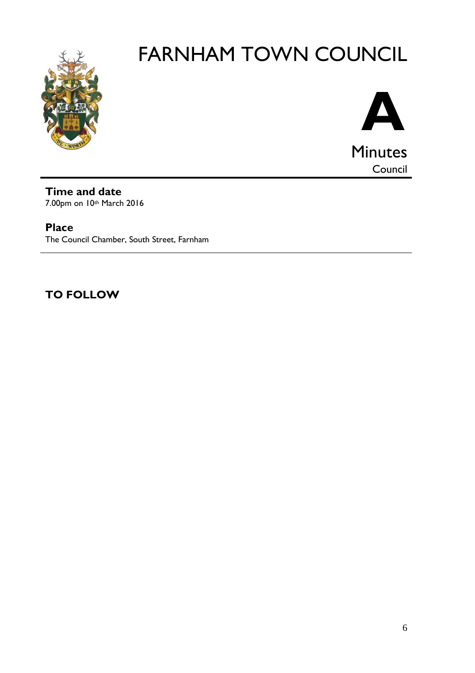



**Time and date** 7.00pm on 10th March 2016

**Place** The Council Chamber, South Street, Farnham

**TO FOLLOW**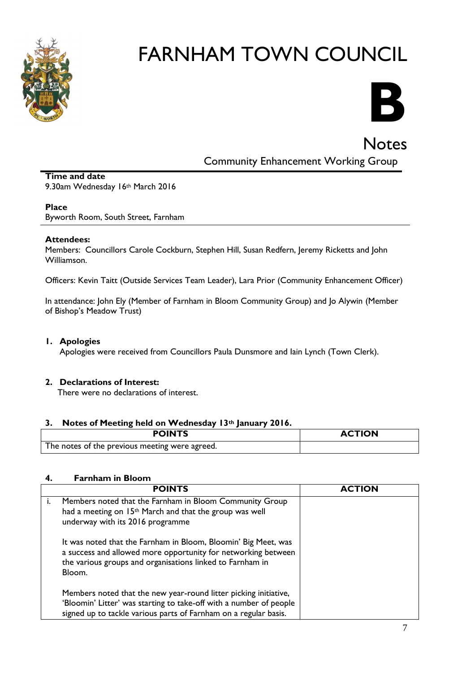

# **B**

**Notes** 

Community Enhancement Working Group

#### **Time and date** 9.30am Wednesday 16th March 2016

#### **Place**

Byworth Room, South Street, Farnham

#### **Attendees:**

Members: Councillors Carole Cockburn, Stephen Hill, Susan Redfern, Jeremy Ricketts and John Williamson.

Officers: Kevin Taitt (Outside Services Team Leader), Lara Prior (Community Enhancement Officer)

In attendance: John Ely (Member of Farnham in Bloom Community Group) and Jo Alywin (Member of Bishop's Meadow Trust)

#### **1. Apologies**

Apologies were received from Councillors Paula Dunsmore and Iain Lynch (Town Clerk).

#### **2. Declarations of Interest:**

There were no declarations of interest.

#### **3. Notes of Meeting held on Wednesday 13th January 2016.**

| <b>POINTS</b>                                  | <b>ACTION</b> |
|------------------------------------------------|---------------|
| The notes of the previous meeting were agreed. |               |

#### **4. Farnham in Bloom**

| <b>POINTS</b>                                                                                                                                                                                              | <b>ACTION</b> |
|------------------------------------------------------------------------------------------------------------------------------------------------------------------------------------------------------------|---------------|
| Members noted that the Farnham in Bloom Community Group<br>had a meeting on 15 <sup>th</sup> March and that the group was well<br>underway with its 2016 programme                                         |               |
| It was noted that the Farnham in Bloom, Bloomin' Big Meet, was<br>a success and allowed more opportunity for networking between<br>the various groups and organisations linked to Farnham in<br>Bloom.     |               |
| Members noted that the new year-round litter picking initiative,<br>'Bloomin' Litter' was starting to take-off with a number of people<br>signed up to tackle various parts of Farnham on a regular basis. |               |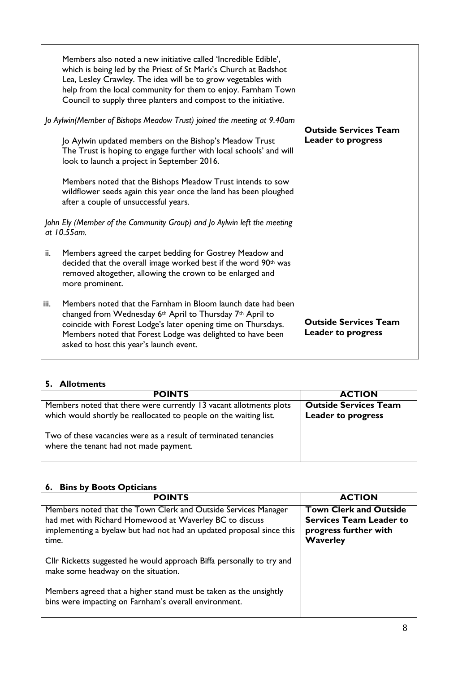|      | Members also noted a new initiative called 'Incredible Edible',<br>which is being led by the Priest of St Mark's Church at Badshot<br>Lea, Lesley Crawley. The idea will be to grow vegetables with<br>help from the local community for them to enjoy. Farnham Town<br>Council to supply three planters and compost to the initiative.<br>Jo Aylwin(Member of Bishops Meadow Trust) joined the meeting at 9.40am<br>Jo Aylwin updated members on the Bishop's Meadow Trust | <b>Outside Services Team</b><br><b>Leader to progress</b> |
|------|-----------------------------------------------------------------------------------------------------------------------------------------------------------------------------------------------------------------------------------------------------------------------------------------------------------------------------------------------------------------------------------------------------------------------------------------------------------------------------|-----------------------------------------------------------|
|      | The Trust is hoping to engage further with local schools' and will<br>look to launch a project in September 2016.                                                                                                                                                                                                                                                                                                                                                           |                                                           |
|      | Members noted that the Bishops Meadow Trust intends to sow<br>wildflower seeds again this year once the land has been ploughed<br>after a couple of unsuccessful years.                                                                                                                                                                                                                                                                                                     |                                                           |
|      | John Ely (Member of the Community Group) and Jo Aylwin left the meeting<br>at 10.55 am.                                                                                                                                                                                                                                                                                                                                                                                     |                                                           |
| ii.  | Members agreed the carpet bedding for Gostrey Meadow and<br>decided that the overall image worked best if the word 90th was<br>removed altogether, allowing the crown to be enlarged and<br>more prominent.                                                                                                                                                                                                                                                                 |                                                           |
| iii. | Members noted that the Farnham in Bloom launch date had been<br>changed from Wednesday 6 <sup>th</sup> April to Thursday 7 <sup>th</sup> April to<br>coincide with Forest Lodge's later opening time on Thursdays.<br>Members noted that Forest Lodge was delighted to have been<br>asked to host this year's launch event.                                                                                                                                                 | <b>Outside Services Team</b><br><b>Leader to progress</b> |

#### **5. Allotments**

| <b>POINTS</b>                                                                                                                           | <b>ACTION</b>                                             |
|-----------------------------------------------------------------------------------------------------------------------------------------|-----------------------------------------------------------|
| Members noted that there were currently 13 vacant allotments plots<br>which would shortly be reallocated to people on the waiting list. | <b>Outside Services Team</b><br><b>Leader to progress</b> |
| Two of these vacancies were as a result of terminated tenancies<br>where the tenant had not made payment.                               |                                                           |

#### **6. Bins by Boots Opticians**

| <b>POINTS</b>                                                                                                                                                                                              | <b>ACTION</b>                                                                                               |
|------------------------------------------------------------------------------------------------------------------------------------------------------------------------------------------------------------|-------------------------------------------------------------------------------------------------------------|
| Members noted that the Town Clerk and Outside Services Manager<br>had met with Richard Homewood at Waverley BC to discuss<br>implementing a byelaw but had not had an updated proposal since this<br>time. | <b>Town Clerk and Outside</b><br><b>Services Team Leader to</b><br>progress further with<br><b>Waverley</b> |
| Cllr Ricketts suggested he would approach Biffa personally to try and<br>make some headway on the situation.                                                                                               |                                                                                                             |
| Members agreed that a higher stand must be taken as the unsightly<br>bins were impacting on Farnham's overall environment.                                                                                 |                                                                                                             |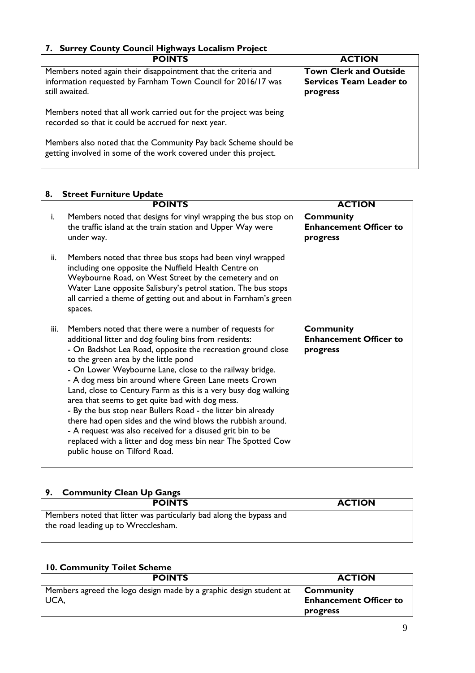#### **7. Surrey County Council Highways Localism Project**

| <b>POINTS</b>                                                                                                                                     | <b>ACTION</b>                                                               |
|---------------------------------------------------------------------------------------------------------------------------------------------------|-----------------------------------------------------------------------------|
| Members noted again their disappointment that the criteria and<br>information requested by Farnham Town Council for 2016/17 was<br>still awaited. | <b>Town Clerk and Outside</b><br><b>Services Team Leader to</b><br>progress |
| Members noted that all work carried out for the project was being<br>recorded so that it could be accrued for next year.                          |                                                                             |
| Members also noted that the Community Pay back Scheme should be<br>getting involved in some of the work covered under this project.               |                                                                             |

#### **8. Street Furniture Update**

|      | <b>POINTS</b>                                                                                                                                                                                                                                                                                                                                                                                                                                                                                                                                                                                                                                                                                                                                                 | <b>ACTION</b>                                                 |
|------|---------------------------------------------------------------------------------------------------------------------------------------------------------------------------------------------------------------------------------------------------------------------------------------------------------------------------------------------------------------------------------------------------------------------------------------------------------------------------------------------------------------------------------------------------------------------------------------------------------------------------------------------------------------------------------------------------------------------------------------------------------------|---------------------------------------------------------------|
| i.   | Members noted that designs for vinyl wrapping the bus stop on<br>the traffic island at the train station and Upper Way were<br>under way.                                                                                                                                                                                                                                                                                                                                                                                                                                                                                                                                                                                                                     | <b>Community</b><br><b>Enhancement Officer to</b><br>progress |
| ii.  | Members noted that three bus stops had been vinyl wrapped<br>including one opposite the Nuffield Health Centre on<br>Weybourne Road, on West Street by the cemetery and on<br>Water Lane opposite Salisbury's petrol station. The bus stops<br>all carried a theme of getting out and about in Farnham's green<br>spaces.                                                                                                                                                                                                                                                                                                                                                                                                                                     |                                                               |
| iii. | Members noted that there were a number of requests for<br>additional litter and dog fouling bins from residents:<br>- On Badshot Lea Road, opposite the recreation ground close<br>to the green area by the little pond<br>- On Lower Weybourne Lane, close to the railway bridge.<br>- A dog mess bin around where Green Lane meets Crown<br>Land, close to Century Farm as this is a very busy dog walking<br>area that seems to get quite bad with dog mess.<br>- By the bus stop near Bullers Road - the litter bin already<br>there had open sides and the wind blows the rubbish around.<br>- A request was also received for a disused grit bin to be<br>replaced with a litter and dog mess bin near The Spotted Cow<br>public house on Tilford Road. | <b>Community</b><br><b>Enhancement Officer to</b><br>progress |

#### **9. Community Clean Up Gangs**

| <b>POINTS</b>                                                                                              | <b>ACTION</b> |
|------------------------------------------------------------------------------------------------------------|---------------|
| Members noted that litter was particularly bad along the bypass and<br>the road leading up to Wrecclesham. |               |

#### **10. Community Toilet Scheme**

| <b>POINTS</b>                                                                | <b>ACTION</b>                                          |
|------------------------------------------------------------------------------|--------------------------------------------------------|
| Members agreed the logo design made by a graphic design student at<br>I UCA. | Community<br><b>Enhancement Officer to</b><br>progress |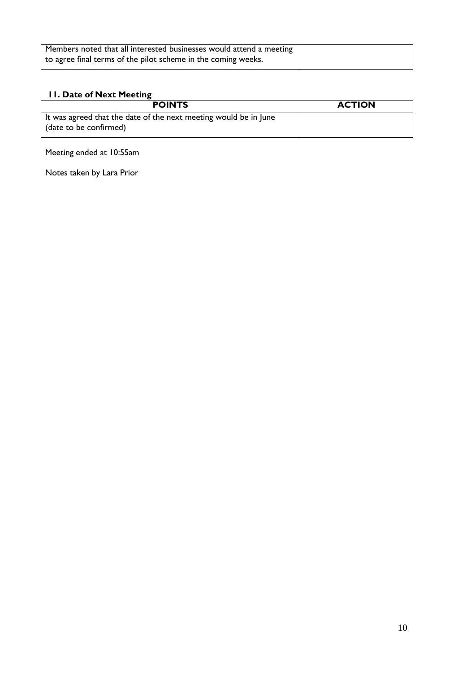| Members noted that all interested businesses would attend a meeting |  |
|---------------------------------------------------------------------|--|
| to agree final terms of the pilot scheme in the coming weeks.       |  |

#### **11. Date of Next Meeting**

| <b>POINTS</b>                                                    | <b>ACTION</b> |
|------------------------------------------------------------------|---------------|
| It was agreed that the date of the next meeting would be in June |               |
| (date to be confirmed)                                           |               |

#### Meeting ended at 10:55am

Notes taken by Lara Prior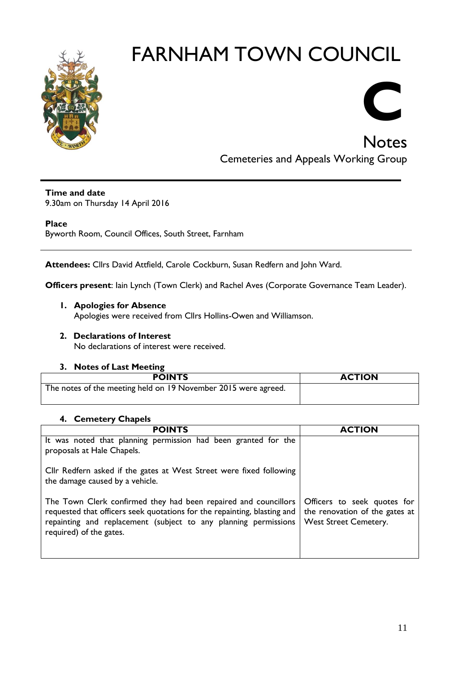

Notes Cemeteries and Appeals Working Group

**C**

#### **Time and date**

9.30am on Thursday 14 April 2016

#### **Place**

Byworth Room, Council Offices, South Street, Farnham

**Attendees:** Cllrs David Attfield, Carole Cockburn, Susan Redfern and John Ward.

**Officers present**: Iain Lynch (Town Clerk) and Rachel Aves (Corporate Governance Team Leader).

#### **1. Apologies for Absence**

Apologies were received from Cllrs Hollins-Owen and Williamson.

### **2. Declarations of Interest**

No declarations of interest were received.

#### **3. Notes of Last Meeting**

| <b>POINTS</b>                                                  | <b>ACTION</b> |
|----------------------------------------------------------------|---------------|
| The notes of the meeting held on 19 November 2015 were agreed. |               |

#### **4. Cemetery Chapels**

| <b>POINTS</b>                                                                                                                                                                                                                             | <b>ACTION</b>                                                                                 |
|-------------------------------------------------------------------------------------------------------------------------------------------------------------------------------------------------------------------------------------------|-----------------------------------------------------------------------------------------------|
| It was noted that planning permission had been granted for the<br>proposals at Hale Chapels.                                                                                                                                              |                                                                                               |
| Cllr Redfern asked if the gates at West Street were fixed following<br>the damage caused by a vehicle.                                                                                                                                    |                                                                                               |
| The Town Clerk confirmed they had been repaired and councillors<br>requested that officers seek quotations for the repainting, blasting and<br>repainting and replacement (subject to any planning permissions<br>required) of the gates. | Officers to seek quotes for<br>the renovation of the gates at<br><b>West Street Cemetery.</b> |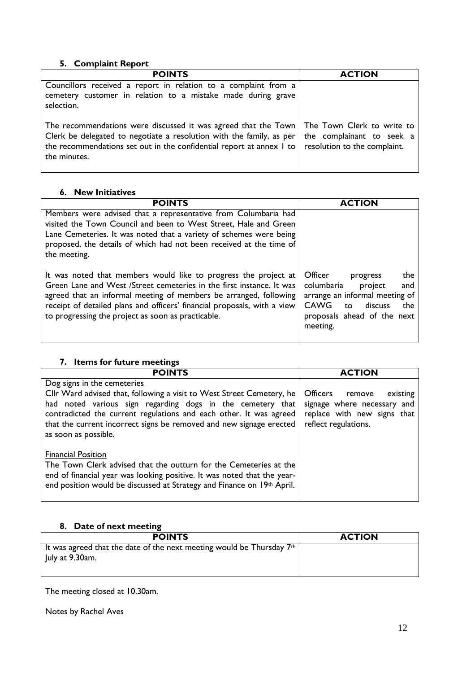#### **5. Complaint Report**

| <b>POINTS</b>                                                                                                                                                                                                                                                                                                                            | <b>ACTION</b> |
|------------------------------------------------------------------------------------------------------------------------------------------------------------------------------------------------------------------------------------------------------------------------------------------------------------------------------------------|---------------|
| Councillors received a report in relation to a complaint from a<br>cemetery customer in relation to a mistake made during grave<br>selection.                                                                                                                                                                                            |               |
| The recommendations were discussed it was agreed that the Town   The Town Clerk to write to<br>Clerk be delegated to negotiate a resolution with the family, as per $\vert$ the complainant to seek a<br>the recommendations set out in the confidential report at annex $\vert$ to $\vert$ resolution to the complaint.<br>the minutes. |               |

#### **6. New Initiatives**

| <b>POINTS</b>                                                                                                                                                                                                                                                                                                                                  | <b>ACTION</b>                                                                                                                                                                         |
|------------------------------------------------------------------------------------------------------------------------------------------------------------------------------------------------------------------------------------------------------------------------------------------------------------------------------------------------|---------------------------------------------------------------------------------------------------------------------------------------------------------------------------------------|
| Members were advised that a representative from Columbaria had<br>visited the Town Council and been to West Street, Hale and Green<br>Lane Cemeteries. It was noted that a variety of schemes were being<br>proposed, the details of which had not been received at the time of<br>the meeting.                                                |                                                                                                                                                                                       |
| It was noted that members would like to progress the project at<br>Green Lane and West /Street cemeteries in the first instance. It was<br>agreed that an informal meeting of members be arranged, following<br>receipt of detailed plans and officers' financial proposals, with a view<br>to progressing the project as soon as practicable. | <b>Officer</b><br>the<br>progress<br>columbaria<br>project<br>and<br>arrange an informal meeting of<br><b>CAWG</b><br>discuss<br>the<br>to<br>proposals ahead of the next<br>meeting. |

#### **7. Items for future meetings**

| <b>POINTS</b>                                                                                                                                                                                                                                                                                                                           | <b>ACTION</b>                                                                                                               |
|-----------------------------------------------------------------------------------------------------------------------------------------------------------------------------------------------------------------------------------------------------------------------------------------------------------------------------------------|-----------------------------------------------------------------------------------------------------------------------------|
| Dog signs in the cemeteries<br>Cllr Ward advised that, following a visit to West Street Cemetery, he<br>had noted various sign regarding dogs in the cemetery that<br>contradicted the current regulations and each other. It was agreed<br>that the current incorrect signs be removed and new signage erected<br>as soon as possible. | <b>Officers</b><br>existing<br>remove<br>signage where necessary and<br>replace with new signs that<br>reflect regulations. |
| <b>Financial Position</b><br>The Town Clerk advised that the outturn for the Cemeteries at the<br>end of financial year was looking positive. It was noted that the year-<br>end position would be discussed at Strategy and Finance on 19th April.                                                                                     |                                                                                                                             |

#### **8. Date of next meeting**

| <b>POINTS</b>                                                         | <b>ACTION</b> |
|-----------------------------------------------------------------------|---------------|
| It was agreed that the date of the next meeting would be Thursday 7th |               |
| July at 9.30am.                                                       |               |
|                                                                       |               |

The meeting closed at 10.30am.

Notes by Rachel Aves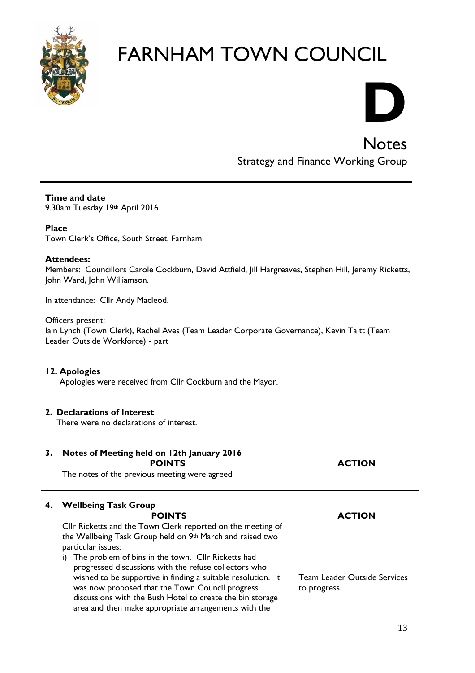

# **D**

**Notes** 

### Strategy and Finance Working Group

#### **Time and date**

9.30am Tuesday 19th April 2016

#### **Place**

Town Clerk's Office, South Street, Farnham

#### **Attendees:**

Members: Councillors Carole Cockburn, David Attfield, Jill Hargreaves, Stephen Hill, Jeremy Ricketts, John Ward, John Williamson.

In attendance: Cllr Andy Macleod.

#### Officers present:

Iain Lynch (Town Clerk), Rachel Aves (Team Leader Corporate Governance), Kevin Taitt (Team Leader Outside Workforce) - part

#### **12. Apologies**

Apologies were received from Cllr Cockburn and the Mayor.

#### **2. Declarations of Interest**

There were no declarations of interest.

#### **3. Notes of Meeting held on 12th January 2016**

| <b>POINTS</b>                                 | <b>ACTION</b> |
|-----------------------------------------------|---------------|
| The notes of the previous meeting were agreed |               |

#### **4. Wellbeing Task Group**

| <b>POINTS</b>                                                                                                                                                                                                                                                                                                                                                                                                                                                                                         | <b>ACTION</b>                                       |
|-------------------------------------------------------------------------------------------------------------------------------------------------------------------------------------------------------------------------------------------------------------------------------------------------------------------------------------------------------------------------------------------------------------------------------------------------------------------------------------------------------|-----------------------------------------------------|
| Cllr Ricketts and the Town Clerk reported on the meeting of<br>the Wellbeing Task Group held on 9th March and raised two<br>particular issues:<br>The problem of bins in the town. Cllr Ricketts had<br>progressed discussions with the refuse collectors who<br>wished to be supportive in finding a suitable resolution. It<br>was now proposed that the Town Council progress<br>discussions with the Bush Hotel to create the bin storage<br>area and then make appropriate arrangements with the | <b>Team Leader Outside Services</b><br>to progress. |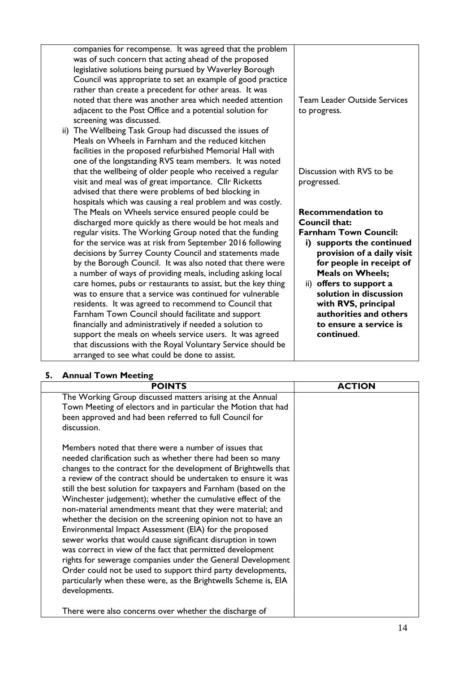|     | companies for recompense. It was agreed that the problem<br>was of such concern that acting ahead of the proposed<br>legislative solutions being pursued by Waverley Borough<br>Council was appropriate to set an example of good practice<br>rather than create a precedent for other areas. It was<br>noted that there was another area which needed attention<br>adjacent to the Post Office and a potential solution for<br>screening was discussed.                     | <b>Team Leader Outside Services</b><br>to progress.        |
|-----|------------------------------------------------------------------------------------------------------------------------------------------------------------------------------------------------------------------------------------------------------------------------------------------------------------------------------------------------------------------------------------------------------------------------------------------------------------------------------|------------------------------------------------------------|
| ii) | The Wellbeing Task Group had discussed the issues of<br>Meals on Wheels in Farnham and the reduced kitchen<br>facilities in the proposed refurbished Memorial Hall with<br>one of the longstanding RVS team members. It was noted<br>that the wellbeing of older people who received a regular<br>visit and meal was of great importance. Cllr Ricketts<br>advised that there were problems of bed blocking in<br>hospitals which was causing a real problem and was costly. | Discussion with RVS to be<br>progressed.                   |
|     | The Meals on Wheels service ensured people could be                                                                                                                                                                                                                                                                                                                                                                                                                          | <b>Recommendation to</b>                                   |
|     | discharged more quickly as there would be hot meals and                                                                                                                                                                                                                                                                                                                                                                                                                      | Council that:                                              |
|     | regular visits. The Working Group noted that the funding                                                                                                                                                                                                                                                                                                                                                                                                                     | <b>Farnham Town Council:</b>                               |
|     | for the service was at risk from September 2016 following<br>decisions by Surrey County Council and statements made                                                                                                                                                                                                                                                                                                                                                          | supports the continued<br>i)<br>provision of a daily visit |
|     | by the Borough Council. It was also noted that there were                                                                                                                                                                                                                                                                                                                                                                                                                    | for people in receipt of                                   |
|     | a number of ways of providing meals, including asking local                                                                                                                                                                                                                                                                                                                                                                                                                  | <b>Meals on Wheels;</b>                                    |
|     | care homes, pubs or restaurants to assist, but the key thing                                                                                                                                                                                                                                                                                                                                                                                                                 | ii) offers to support a                                    |
|     | was to ensure that a service was continued for vulnerable<br>residents. It was agreed to recommend to Council that                                                                                                                                                                                                                                                                                                                                                           | solution in discussion<br>with RVS, principal              |
|     | Farnham Town Council should facilitate and support                                                                                                                                                                                                                                                                                                                                                                                                                           | authorities and others                                     |
|     | financially and administratively if needed a solution to                                                                                                                                                                                                                                                                                                                                                                                                                     | to ensure a service is                                     |
|     | support the meals on wheels service users. It was agreed                                                                                                                                                                                                                                                                                                                                                                                                                     | continued.                                                 |
|     | that discussions with the Royal Voluntary Service should be<br>arranged to see what could be done to assist.                                                                                                                                                                                                                                                                                                                                                                 |                                                            |
|     |                                                                                                                                                                                                                                                                                                                                                                                                                                                                              |                                                            |

#### **5. Annual Town Meeting**

| <b>AURAN TOWN TCCCNIE</b><br><b>POINTS</b>                                                                                                                                                                                                                                                                                                                                                                                                                                                                                                                                                                                                                                                                                                                                                                                                                                                                                          | <b>ACTION</b> |
|-------------------------------------------------------------------------------------------------------------------------------------------------------------------------------------------------------------------------------------------------------------------------------------------------------------------------------------------------------------------------------------------------------------------------------------------------------------------------------------------------------------------------------------------------------------------------------------------------------------------------------------------------------------------------------------------------------------------------------------------------------------------------------------------------------------------------------------------------------------------------------------------------------------------------------------|---------------|
| The Working Group discussed matters arising at the Annual<br>Town Meeting of electors and in particular the Motion that had<br>been approved and had been referred to full Council for<br>discussion.                                                                                                                                                                                                                                                                                                                                                                                                                                                                                                                                                                                                                                                                                                                               |               |
| Members noted that there were a number of issues that<br>needed clarification such as whether there had been so many<br>changes to the contract for the development of Brightwells that<br>a review of the contract should be undertaken to ensure it was<br>still the best solution for taxpayers and Farnham (based on the<br>Winchester judgement); whether the cumulative effect of the<br>non-material amendments meant that they were material; and<br>whether the decision on the screening opinion not to have an<br>Environmental Impact Assessment (EIA) for the proposed<br>sewer works that would cause significant disruption in town<br>was correct in view of the fact that permitted development<br>rights for sewerage companies under the General Development<br>Order could not be used to support third party developments,<br>particularly when these were, as the Brightwells Scheme is, EIA<br>developments. |               |
| There were also concerns over whether the discharge of                                                                                                                                                                                                                                                                                                                                                                                                                                                                                                                                                                                                                                                                                                                                                                                                                                                                              |               |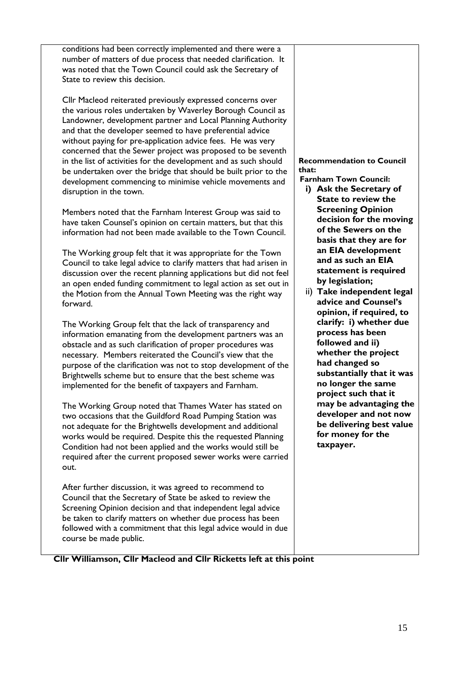conditions had been correctly implemented and there were a number of matters of due process that needed clarification. It was noted that the Town Council could ask the Secretary of State to review this decision.

Cllr Macleod reiterated previously expressed concerns over the various roles undertaken by Waverley Borough Council as Landowner, development partner and Local Planning Authority and that the developer seemed to have preferential advice without paying for pre-application advice fees. He was very concerned that the Sewer project was proposed to be seventh in the list of activities for the development and as such should be undertaken over the bridge that should be built prior to the development commencing to minimise vehicle movements and disruption in the town.

Members noted that the Farnham Interest Group was said to have taken Counsel's opinion on certain matters, but that this information had not been made available to the Town Council.

The Working group felt that it was appropriate for the Town Council to take legal advice to clarify matters that had arisen in discussion over the recent planning applications but did not feel an open ended funding commitment to legal action as set out in the Motion from the Annual Town Meeting was the right way forward.

The Working Group felt that the lack of transparency and information emanating from the development partners was an obstacle and as such clarification of proper procedures was necessary. Members reiterated the Council's view that the purpose of the clarification was not to stop development of the Brightwells scheme but to ensure that the best scheme was implemented for the benefit of taxpayers and Farnham.

The Working Group noted that Thames Water has stated on two occasions that the Guildford Road Pumping Station was not adequate for the Brightwells development and additional works would be required. Despite this the requested Planning Condition had not been applied and the works would still be required after the current proposed sewer works were carried out.

After further discussion, it was agreed to recommend to Council that the Secretary of State be asked to review the Screening Opinion decision and that independent legal advice be taken to clarify matters on whether due process has been followed with a commitment that this legal advice would in due course be made public.

#### **Recommendation to Council that:**

- **Farnham Town Council:**
	- **i) Ask the Secretary of State to review the Screening Opinion decision for the moving of the Sewers on the basis that they are for an EIA development and as such an EIA statement is required by legislation;**
	- ii) **Take independent legal advice and Counsel's opinion, if required, to clarify: i) whether due process has been followed and ii) whether the project had changed so substantially that it was no longer the same project such that it may be advantaging the developer and not now be delivering best value for money for the taxpayer.**

**Cllr Williamson, Cllr Macleod and Cllr Ricketts left at this point**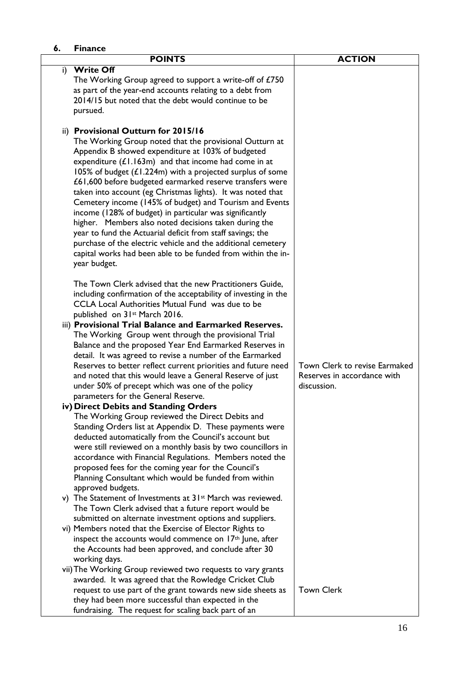| 6. | <b>Finance</b>                                                                                                               |                               |
|----|------------------------------------------------------------------------------------------------------------------------------|-------------------------------|
|    | <b>POINTS</b>                                                                                                                | <b>ACTION</b>                 |
| i) | <b>Write Off</b>                                                                                                             |                               |
|    | The Working Group agreed to support a write-off of £750                                                                      |                               |
|    | as part of the year-end accounts relating to a debt from                                                                     |                               |
|    | 2014/15 but noted that the debt would continue to be                                                                         |                               |
|    | pursued.                                                                                                                     |                               |
|    | ii) Provisional Outturn for 2015/16                                                                                          |                               |
|    | The Working Group noted that the provisional Outturn at                                                                      |                               |
|    | Appendix B showed expenditure at 103% of budgeted                                                                            |                               |
|    | expenditure $(L1.163m)$ and that income had come in at                                                                       |                               |
|    | 105% of budget $(L1.224m)$ with a projected surplus of some                                                                  |                               |
|    | £61,600 before budgeted earmarked reserve transfers were                                                                     |                               |
|    | taken into account (eg Christmas lights). It was noted that                                                                  |                               |
|    | Cemetery income (145% of budget) and Tourism and Events                                                                      |                               |
|    | income (128% of budget) in particular was significantly                                                                      |                               |
|    | higher. Members also noted decisions taken during the                                                                        |                               |
|    | year to fund the Actuarial deficit from staff savings; the                                                                   |                               |
|    | purchase of the electric vehicle and the additional cemetery<br>capital works had been able to be funded from within the in- |                               |
|    | year budget.                                                                                                                 |                               |
|    |                                                                                                                              |                               |
|    | The Town Clerk advised that the new Practitioners Guide,                                                                     |                               |
|    | including confirmation of the acceptability of investing in the                                                              |                               |
|    | CCLA Local Authorities Mutual Fund was due to be                                                                             |                               |
|    | published on 31 <sup>st</sup> March 2016.                                                                                    |                               |
|    | iii) Provisional Trial Balance and Earmarked Reserves.                                                                       |                               |
|    | The Working Group went through the provisional Trial                                                                         |                               |
|    | Balance and the proposed Year End Earmarked Reserves in                                                                      |                               |
|    | detail. It was agreed to revise a number of the Earmarked<br>Reserves to better reflect current priorities and future need   | Town Clerk to revise Earmaked |
|    | and noted that this would leave a General Reserve of just                                                                    | Reserves in accordance with   |
|    | under 50% of precept which was one of the policy                                                                             | discussion.                   |
|    | parameters for the General Reserve.                                                                                          |                               |
|    | iv) Direct Debits and Standing Orders                                                                                        |                               |
|    | The Working Group reviewed the Direct Debits and                                                                             |                               |
|    | Standing Orders list at Appendix D. These payments were                                                                      |                               |
|    | deducted automatically from the Council's account but                                                                        |                               |
|    | were still reviewed on a monthly basis by two councillors in                                                                 |                               |
|    | accordance with Financial Regulations. Members noted the                                                                     |                               |
|    | proposed fees for the coming year for the Council's<br>Planning Consultant which would be funded from within                 |                               |
|    | approved budgets.                                                                                                            |                               |
|    | v) The Statement of Investments at 31 <sup>st</sup> March was reviewed.                                                      |                               |
|    | The Town Clerk advised that a future report would be                                                                         |                               |
|    | submitted on alternate investment options and suppliers.                                                                     |                               |
|    | vi) Members noted that the Exercise of Elector Rights to                                                                     |                               |
|    | inspect the accounts would commence on $17th$ June, after                                                                    |                               |
|    | the Accounts had been approved, and conclude after 30                                                                        |                               |
|    | working days.                                                                                                                |                               |
|    | vii) The Working Group reviewed two requests to vary grants                                                                  |                               |
|    | awarded. It was agreed that the Rowledge Cricket Club                                                                        |                               |
|    | request to use part of the grant towards new side sheets as                                                                  | <b>Town Clerk</b>             |
|    |                                                                                                                              |                               |
|    | they had been more successful than expected in the<br>fundraising. The request for scaling back part of an                   |                               |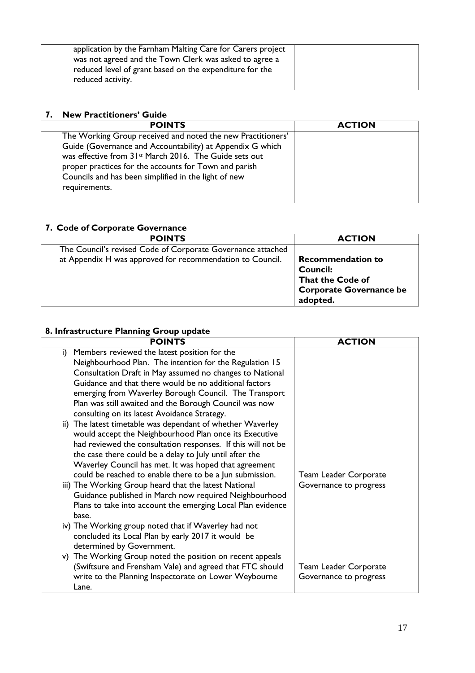| application by the Farnham Malting Care for Carers project<br>was not agreed and the Town Clerk was asked to agree a<br>reduced level of grant based on the expenditure for the |  |
|---------------------------------------------------------------------------------------------------------------------------------------------------------------------------------|--|
| reduced activity.                                                                                                                                                               |  |

#### **7. New Practitioners' Guide**

| <b>POINTS</b>                                                                                                                                                                                                                                                                                                   | <b>ACTION</b> |
|-----------------------------------------------------------------------------------------------------------------------------------------------------------------------------------------------------------------------------------------------------------------------------------------------------------------|---------------|
| The Working Group received and noted the new Practitioners'<br>Guide (Governance and Accountability) at Appendix G which<br>was effective from 31 <sup>st</sup> March 2016. The Guide sets out<br>proper practices for the accounts for Town and parish<br>Councils and has been simplified in the light of new |               |
| requirements.                                                                                                                                                                                                                                                                                                   |               |

#### **7. Code of Corporate Governance**

| <b>POINTS</b>                                               | <b>ACTION</b>                  |
|-------------------------------------------------------------|--------------------------------|
| The Council's revised Code of Corporate Governance attached |                                |
| at Appendix H was approved for recommendation to Council.   | <b>Recommendation to</b>       |
|                                                             | <b>Council:</b>                |
|                                                             | That the Code of               |
|                                                             | <b>Corporate Governance be</b> |
|                                                             | adopted.                       |

#### **8. Infrastructure Planning Group update**

| <b>ACTION</b>                |
|------------------------------|
|                              |
|                              |
|                              |
|                              |
|                              |
|                              |
|                              |
|                              |
|                              |
|                              |
|                              |
|                              |
| <b>Team Leader Corporate</b> |
| Governance to progress       |
|                              |
|                              |
|                              |
|                              |
|                              |
|                              |
| <b>Team Leader Corporate</b> |
| Governance to progress       |
|                              |
|                              |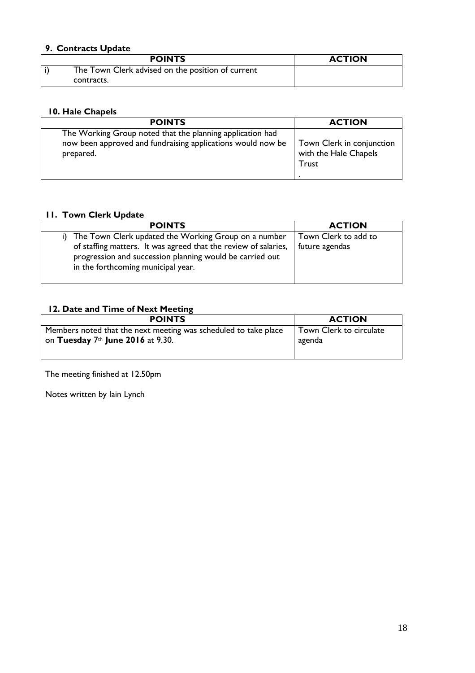#### **9. Contracts Update**

| <b>POINTS</b>                                     | <b>ACTION</b> |
|---------------------------------------------------|---------------|
| The Town Clerk advised on the position of current |               |
| contracts.                                        |               |

#### **10. Hale Chapels**

| <b>POINTS</b>                                               | <b>ACTION</b>             |
|-------------------------------------------------------------|---------------------------|
| The Working Group noted that the planning application had   | Town Clerk in conjunction |
| now been approved and fundraising applications would now be | with the Hale Chapels     |
| prepared.                                                   | Trust                     |

#### **11. Town Clerk Update**

| <b>POINTS</b>                                                                                                                                                                                                             | <b>ACTION</b>                          |
|---------------------------------------------------------------------------------------------------------------------------------------------------------------------------------------------------------------------------|----------------------------------------|
| The Town Clerk updated the Working Group on a number<br>of staffing matters. It was agreed that the review of salaries,<br>progression and succession planning would be carried out<br>in the forthcoming municipal year. | Town Clerk to add to<br>future agendas |
|                                                                                                                                                                                                                           |                                        |

#### **12. Date and Time of Next Meeting**

| <b>POINTS</b>                                                   | <b>ACTION</b>           |
|-----------------------------------------------------------------|-------------------------|
| Members noted that the next meeting was scheduled to take place | Town Clerk to circulate |
| on Tuesday $7th$ June 2016 at 9.30.                             | agenda                  |
|                                                                 |                         |

The meeting finished at 12.50pm

Notes written by Iain Lynch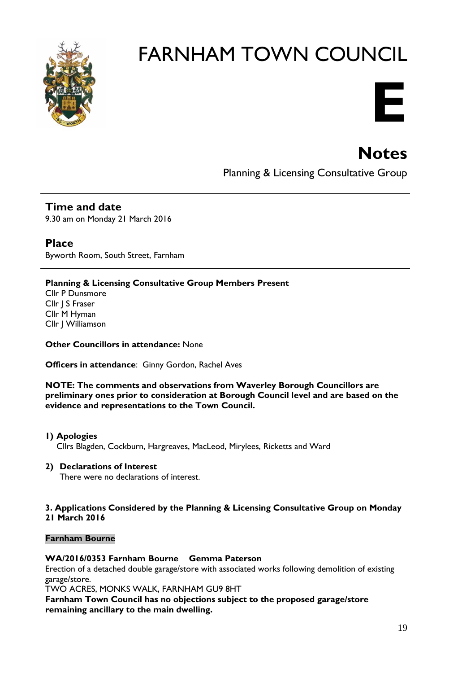

# **E**

## **Notes**

Planning & Licensing Consultative Group

**Time and date** 9.30 am on Monday 21 March 2016

**Place** Byworth Room, South Street, Farnham

#### **Planning & Licensing Consultative Group Members Present**

Cllr P Dunsmore Cllr J S Fraser Cllr M Hyman Cllr J Williamson

**Other Councillors in attendance:** None

**Officers in attendance**: Ginny Gordon, Rachel Aves

**NOTE: The comments and observations from Waverley Borough Councillors are preliminary ones prior to consideration at Borough Council level and are based on the evidence and representations to the Town Council.**

**1) Apologies** 

Cllrs Blagden, Cockburn, Hargreaves, MacLeod, Mirylees, Ricketts and Ward

#### **2) Declarations of Interest**

There were no declarations of interest.

#### **3. Applications Considered by the Planning & Licensing Consultative Group on Monday 21 March 2016**

#### **Farnham Bourne**

#### **WA/2016/0353 Farnham Bourne Gemma Paterson**

Erection of a detached double garage/store with associated works following demolition of existing garage/store.

TWO ACRES, MONKS WALK, FARNHAM GU9 8HT

**Farnham Town Council has no objections subject to the proposed garage/store remaining ancillary to the main dwelling.**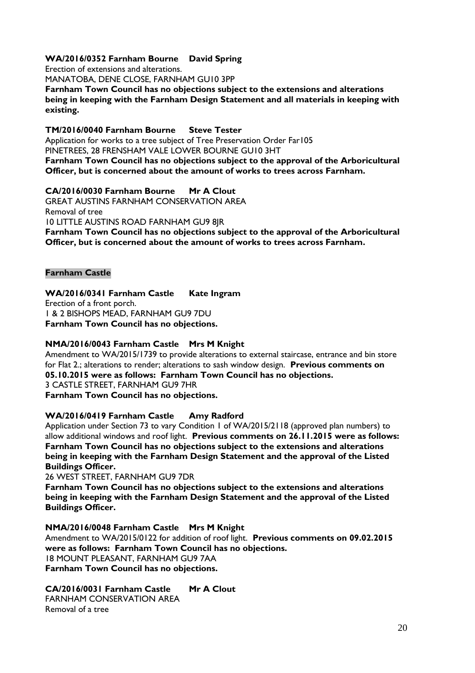#### **WA/2016/0352 Farnham Bourne David Spring**

Erection of extensions and alterations.

MANATOBA, DENE CLOSE, FARNHAM GU10 3PP

**Farnham Town Council has no objections subject to the extensions and alterations being in keeping with the Farnham Design Statement and all materials in keeping with existing.**

#### **TM/2016/0040 Farnham Bourne Steve Tester**

Application for works to a tree subject of Tree Preservation Order Far105 PINETREES, 28 FRENSHAM VALE LOWER BOURNE GU10 3HT **Farnham Town Council has no objections subject to the approval of the Arboricultural** 

**Officer, but is concerned about the amount of works to trees across Farnham.**

#### **CA/2016/0030 Farnham Bourne Mr A Clout**

GREAT AUSTINS FARNHAM CONSERVATION AREA Removal of tree 10 LITTLE AUSTINS ROAD FARNHAM GU9 8JR **Farnham Town Council has no objections subject to the approval of the Arboricultural Officer, but is concerned about the amount of works to trees across Farnham.**

#### **Farnham Castle**

#### **WA/2016/0341 Farnham Castle Kate Ingram**

Erection of a front porch. 1 & 2 BISHOPS MEAD, FARNHAM GU9 7DU **Farnham Town Council has no objections.**

#### **NMA/2016/0043 Farnham Castle Mrs M Knight**

Amendment to WA/2015/1739 to provide alterations to external staircase, entrance and bin store for Flat 2.; alterations to render; alterations to sash window design. **Previous comments on 05.10.2015 were as follows: Farnham Town Council has no objections.** 3 CASTLE STREET, FARNHAM GU9 7HR **Farnham Town Council has no objections.**

#### **WA/2016/0419 Farnham Castle Amy Radford**

Application under Section 73 to vary Condition 1 of WA/2015/2118 (approved plan numbers) to allow additional windows and roof light. **Previous comments on 26.11.2015 were as follows: Farnham Town Council has no objections subject to the extensions and alterations being in keeping with the Farnham Design Statement and the approval of the Listed Buildings Officer.**

26 WEST STREET, FARNHAM GU9 7DR

**Farnham Town Council has no objections subject to the extensions and alterations being in keeping with the Farnham Design Statement and the approval of the Listed Buildings Officer.**

#### **NMA/2016/0048 Farnham Castle Mrs M Knight**

Amendment to WA/2015/0122 for addition of roof light. **Previous comments on 09.02.2015 were as follows: Farnham Town Council has no objections.** 18 MOUNT PLEASANT, FARNHAM GU9 7AA **Farnham Town Council has no objections.**

#### **CA/2016/0031 Farnham Castle Mr A Clout**

FARNHAM CONSERVATION AREA Removal of a tree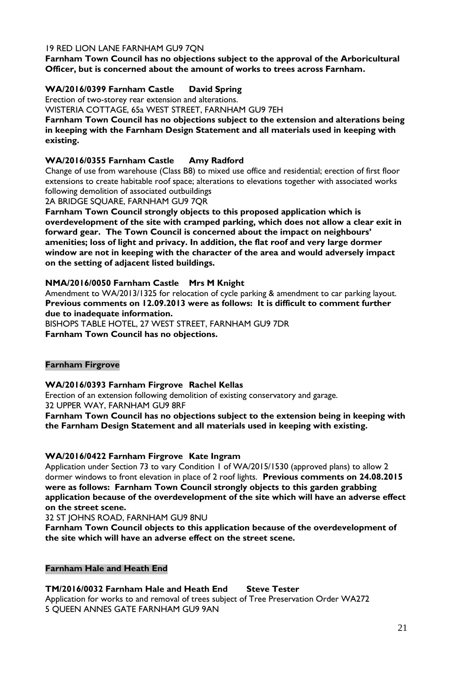#### 19 RED LION LANE FARNHAM GU9 7QN

**Farnham Town Council has no objections subject to the approval of the Arboricultural Officer, but is concerned about the amount of works to trees across Farnham.**

#### **WA/2016/0399 Farnham Castle David Spring**

Erection of two-storey rear extension and alterations.

WISTERIA COTTAGE, 65a WEST STREET, FARNHAM GU9 7EH

**Farnham Town Council has no objections subject to the extension and alterations being in keeping with the Farnham Design Statement and all materials used in keeping with existing.**

#### **WA/2016/0355 Farnham Castle Amy Radford**

Change of use from warehouse (Class B8) to mixed use office and residential; erection of first floor extensions to create habitable roof space; alterations to elevations together with associated works following demolition of associated outbuildings

2A BRIDGE SQUARE, FARNHAM GU9 7QR

**Farnham Town Council strongly objects to this proposed application which is overdevelopment of the site with cramped parking, which does not allow a clear exit in forward gear. The Town Council is concerned about the impact on neighbours' amenities; loss of light and privacy. In addition, the flat roof and very large dormer window are not in keeping with the character of the area and would adversely impact on the setting of adjacent listed buildings.**

#### **NMA/2016/0050 Farnham Castle Mrs M Knight**

Amendment to WA/2013/1325 for relocation of cycle parking & amendment to car parking layout. **Previous comments on 12.09.2013 were as follows: It is difficult to comment further due to inadequate information.** BISHOPS TABLE HOTEL, 27 WEST STREET, FARNHAM GU9 7DR

**Farnham Town Council has no objections.**

#### **Farnham Firgrove**

#### **WA/2016/0393 Farnham Firgrove Rachel Kellas**

Erection of an extension following demolition of existing conservatory and garage. 32 UPPER WAY, FARNHAM GU9 8RF

**Farnham Town Council has no objections subject to the extension being in keeping with the Farnham Design Statement and all materials used in keeping with existing.**

#### **WA/2016/0422 Farnham Firgrove Kate Ingram**

Application under Section 73 to vary Condition 1 of WA/2015/1530 (approved plans) to allow 2 dormer windows to front elevation in place of 2 roof lights. **Previous comments on 24.08.2015 were as follows: Farnham Town Council strongly objects to this garden grabbing application because of the overdevelopment of the site which will have an adverse effect on the street scene.**

32 ST JOHNS ROAD, FARNHAM GU9 8NU

**Farnham Town Council objects to this application because of the overdevelopment of the site which will have an adverse effect on the street scene.**

#### **Farnham Hale and Heath End**

#### **TM/2016/0032 Farnham Hale and Heath End Steve Tester**

Application for works to and removal of trees subject of Tree Preservation Order WA272 5 QUEEN ANNES GATE FARNHAM GU9 9AN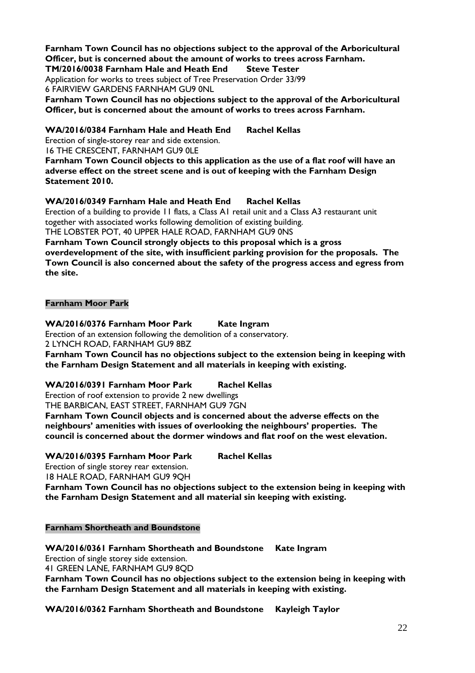**Farnham Town Council has no objections subject to the approval of the Arboricultural Officer, but is concerned about the amount of works to trees across Farnham. TM/2016/0038 Farnham Hale and Heath End Steve Tester**

Application for works to trees subject of Tree Preservation Order 33/99 6 FAIRVIEW GARDENS FARNHAM GU9 0NL

**Farnham Town Council has no objections subject to the approval of the Arboricultural Officer, but is concerned about the amount of works to trees across Farnham.**

**WA/2016/0384 Farnham Hale and Heath End Rachel Kellas**

Erection of single-storey rear and side extension. 16 THE CRESCENT, FARNHAM GU9 0LE

**Farnham Town Council objects to this application as the use of a flat roof will have an adverse effect on the street scene and is out of keeping with the Farnham Design Statement 2010.**

**WA/2016/0349 Farnham Hale and Heath End Rachel Kellas**

Erection of a building to provide 11 flats, a Class A1 retail unit and a Class A3 restaurant unit together with associated works following demolition of existing building. THE LOBSTER POT, 40 UPPER HALE ROAD, FARNHAM GU9 0NS

**Farnham Town Council strongly objects to this proposal which is a gross overdevelopment of the site, with insufficient parking provision for the proposals. The Town Council is also concerned about the safety of the progress access and egress from the site.**

#### **Farnham Moor Park**

**WA/2016/0376 Farnham Moor Park Kate Ingram**

Erection of an extension following the demolition of a conservatory. 2 LYNCH ROAD, FARNHAM GU9 8BZ

**Farnham Town Council has no objections subject to the extension being in keeping with the Farnham Design Statement and all materials in keeping with existing.**

**WA/2016/0391 Farnham Moor Park Rachel Kellas**

Erection of roof extension to provide 2 new dwellings THE BARBICAN, EAST STREET, FARNHAM GU9 7GN

**Farnham Town Council objects and is concerned about the adverse effects on the neighbours' amenities with issues of overlooking the neighbours' properties. The council is concerned about the dormer windows and flat roof on the west elevation.**

**WA/2016/0395 Farnham Moor Park Rachel Kellas**

Erection of single storey rear extension.

18 HALE ROAD, FARNHAM GU9 9QH

**Farnham Town Council has no objections subject to the extension being in keeping with the Farnham Design Statement and all material sin keeping with existing.**

#### **Farnham Shortheath and Boundstone**

**WA/2016/0361 Farnham Shortheath and Boundstone Kate Ingram** Erection of single storey side extension. 41 GREEN LANE, FARNHAM GU9 8QD **Farnham Town Council has no objections subject to the extension being in keeping with the Farnham Design Statement and all materials in keeping with existing.**

**WA/2016/0362 Farnham Shortheath and Boundstone Kayleigh Taylor**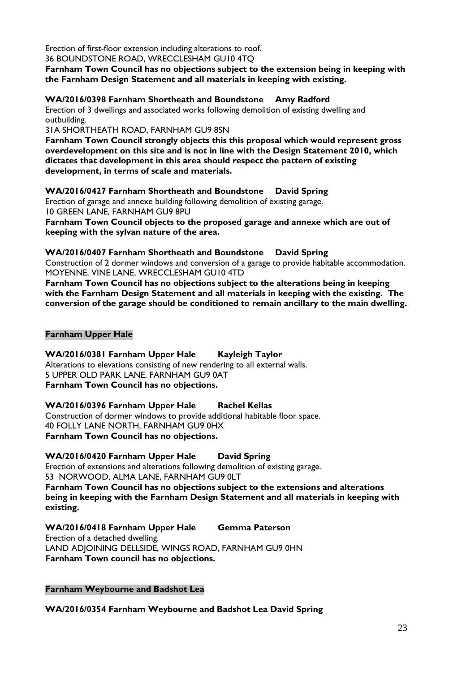Erection of first-floor extension including alterations to roof. 36 BOUNDSTONE ROAD, WRECCLESHAM GU10 4TQ

**Farnham Town Council has no objections subject to the extension being in keeping with the Farnham Design Statement and all materials in keeping with existing.**

**WA/2016/0398 Farnham Shortheath and Boundstone Amy Radford**

Erection of 3 dwellings and associated works following demolition of existing dwelling and outbuilding.

31A SHORTHEATH ROAD, FARNHAM GU9 8SN

**Farnham Town Council strongly objects this this proposal which would represent gross overdevelopment on this site and is not in line with the Design Statement 2010, which dictates that development in this area should respect the pattern of existing development, in terms of scale and materials.**

**WA/2016/0427 Farnham Shortheath and Boundstone David Spring** Erection of garage and annexe building following demolition of existing garage. 10 GREEN LANE, FARNHAM GU9 8PU

**Farnham Town Council objects to the proposed garage and annexe which are out of keeping with the sylvan nature of the area.**

**WA/2016/0407 Farnham Shortheath and Boundstone David Spring**

Construction of 2 dormer windows and conversion of a garage to provide habitable accommodation. MOYENNE, VINE LANE, WRECCLESHAM GU10 4TD

**Farnham Town Council has no objections subject to the alterations being in keeping with the Farnham Design Statement and all materials in keeping with the existing. The conversion of the garage should be conditioned to remain ancillary to the main dwelling.**

#### **Farnham Upper Hale**

**WA/2016/0381 Farnham Upper Hale Kayleigh Taylor**

Alterations to elevations consisting of new rendering to all external walls. 5 UPPER OLD PARK LANE, FARNHAM GU9 0AT **Farnham Town Council has no objections.**

**WA/2016/0396 Farnham Upper Hale Rachel Kellas**

Construction of dormer windows to provide additional habitable floor space. 40 FOLLY LANE NORTH, FARNHAM GU9 0HX **Farnham Town Council has no objections.**

**WA/2016/0420 Farnham Upper Hale David Spring**

Erection of extensions and alterations following demolition of existing garage. 53 NORWOOD, ALMA LANE, FARNHAM GU9 0LT

**Farnham Town Council has no objections subject to the extensions and alterations being in keeping with the Farnham Design Statement and all materials in keeping with existing.**

**WA/2016/0418 Farnham Upper Hale Gemma Paterson**

Erection of a detached dwelling. LAND ADJOINING DELLSIDE, WINGS ROAD, FARNHAM GU9 0HN **Farnham Town council has no objections.**

**Farnham Weybourne and Badshot Lea**

**WA/2016/0354 Farnham Weybourne and Badshot Lea David Spring**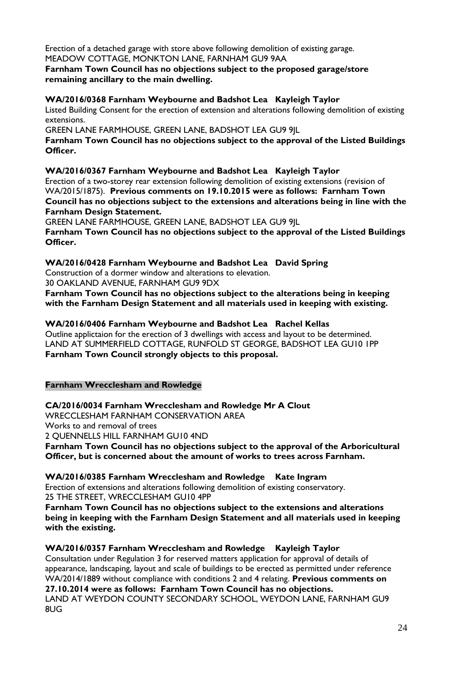Erection of a detached garage with store above following demolition of existing garage. MEADOW COTTAGE, MONKTON LANE, FARNHAM GU9 9AA

#### **Farnham Town Council has no objections subject to the proposed garage/store remaining ancillary to the main dwelling.**

#### **WA/2016/0368 Farnham Weybourne and Badshot Lea Kayleigh Taylor**

Listed Building Consent for the erection of extension and alterations following demolition of existing extensions.

GREEN LANE FARMHOUSE, GREEN LANE, BADSHOT LEA GU9 9JL

**Farnham Town Council has no objections subject to the approval of the Listed Buildings Officer.**

**WA/2016/0367 Farnham Weybourne and Badshot Lea Kayleigh Taylor**

Erection of a two-storey rear extension following demolition of existing extensions (revision of WA/2015/1875). **Previous comments on 19.10.2015 were as follows: Farnham Town Council has no objections subject to the extensions and alterations being in line with the Farnham Design Statement.**

GREEN LANE FARMHOUSE, GREEN LANE, BADSHOT LEA GU9 9JL

**Farnham Town Council has no objections subject to the approval of the Listed Buildings Officer.**

**WA/2016/0428 Farnham Weybourne and Badshot Lea David Spring**

Construction of a dormer window and alterations to elevation.

30 OAKLAND AVENUE, FARNHAM GU9 9DX

**Farnham Town Council has no objections subject to the alterations being in keeping with the Farnham Design Statement and all materials used in keeping with existing.**

**WA/2016/0406 Farnham Weybourne and Badshot Lea Rachel Kellas** Outline applictaion for the erection of 3 dwellings with access and layout to be determined. LAND AT SUMMERFIELD COTTAGE, RUNFOLD ST GEORGE, BADSHOT LEA GU10 1PP **Farnham Town Council strongly objects to this proposal.**

#### **Farnham Wrecclesham and Rowledge**

**CA/2016/0034 Farnham Wrecclesham and Rowledge Mr A Clout**

WRECCLESHAM FARNHAM CONSERVATION AREA

Works to and removal of trees

2 QUENNELLS HILL FARNHAM GU10 4ND

**Farnham Town Council has no objections subject to the approval of the Arboricultural Officer, but is concerned about the amount of works to trees across Farnham.**

**WA/2016/0385 Farnham Wrecclesham and Rowledge Kate Ingram**

Erection of extensions and alterations following demolition of existing conservatory. 25 THE STREET, WRECCLESHAM GU10 4PP

**Farnham Town Council has no objections subject to the extensions and alterations being in keeping with the Farnham Design Statement and all materials used in keeping with the existing.**

**WA/2016/0357 Farnham Wrecclesham and Rowledge Kayleigh Taylor**

Consultation under Regulation 3 for reserved matters application for approval of details of appearance, landscaping, layout and scale of buildings to be erected as permitted under reference WA/2014/1889 without compliance with conditions 2 and 4 relating. **Previous comments on** 

**27.10.2014 were as follows: Farnham Town Council has no objections.** LAND AT WEYDON COUNTY SECONDARY SCHOOL, WEYDON LANE, FARNHAM GU9 8UG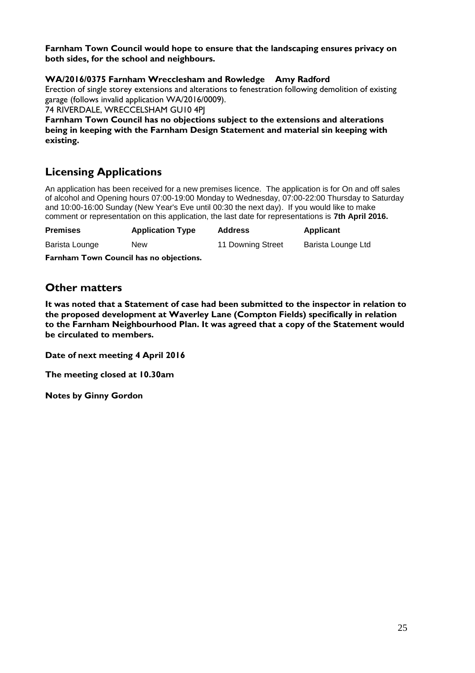**Farnham Town Council would hope to ensure that the landscaping ensures privacy on both sides, for the school and neighbours.**

#### **WA/2016/0375 Farnham Wrecclesham and Rowledge Amy Radford**

Erection of single storey extensions and alterations to fenestration following demolition of existing garage (follows invalid application WA/2016/0009).

74 RIVERDALE, WRECCELSHAM GU10 4PJ

**Farnham Town Council has no objections subject to the extensions and alterations being in keeping with the Farnham Design Statement and material sin keeping with existing.**

#### **Licensing Applications**

An application has been received for a new premises licence. The application is for On and off sales of alcohol and Opening hours 07:00-19:00 Monday to Wednesday, 07:00-22:00 Thursday to Saturday and 10:00-16:00 Sunday (New Year's Eve until 00:30 the next day). If you would like to make comment or representation on this application, the last date for representations is **7th April 2016.**

| <b>Premises</b> | <b>Application Type</b> | <b>Address</b>    | Applicant          |
|-----------------|-------------------------|-------------------|--------------------|
| Barista Lounge  | New                     | 11 Downing Street | Barista Lounge Ltd |

**Farnham Town Council has no objections.**

#### **Other matters**

**It was noted that a Statement of case had been submitted to the inspector in relation to the proposed development at Waverley Lane (Compton Fields) specifically in relation to the Farnham Neighbourhood Plan. It was agreed that a copy of the Statement would be circulated to members.**

**Date of next meeting 4 April 2016**

**The meeting closed at 10.30am**

**Notes by Ginny Gordon**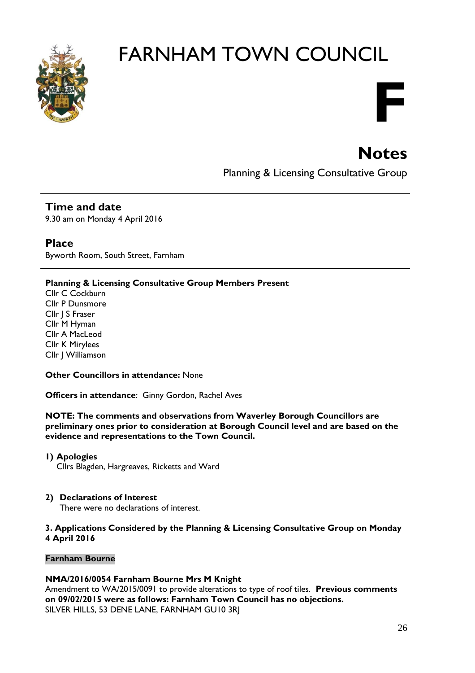

# **F**

## **Notes**

Planning & Licensing Consultative Group

#### **Time and date**

9.30 am on Monday 4 April 2016

#### **Place**

Byworth Room, South Street, Farnham

#### **Planning & Licensing Consultative Group Members Present**

Cllr C Cockburn Cllr P Dunsmore Cllr | S Fraser Cllr M Hyman Cllr A MacLeod Cllr K Mirylees Cllr J Williamson

#### **Other Councillors in attendance:** None

**Officers in attendance**: Ginny Gordon, Rachel Aves

**NOTE: The comments and observations from Waverley Borough Councillors are preliminary ones prior to consideration at Borough Council level and are based on the evidence and representations to the Town Council.**

#### **1) Apologies**

Cllrs Blagden, Hargreaves, Ricketts and Ward

#### **2) Declarations of Interest**

There were no declarations of interest.

#### **3. Applications Considered by the Planning & Licensing Consultative Group on Monday 4 April 2016**

#### **Farnham Bourne**

#### **NMA/2016/0054 Farnham Bourne Mrs M Knight**

Amendment to WA/2015/0091 to provide alterations to type of roof tiles. **Previous comments on 09/02/2015 were as follows: Farnham Town Council has no objections.** SILVER HILLS, 53 DENE LANE, FARNHAM GU10 3RJ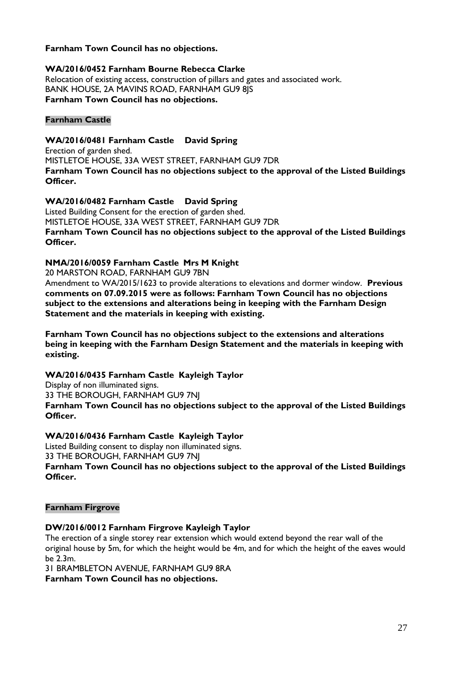#### **Farnham Town Council has no objections.**

#### **WA/2016/0452 Farnham Bourne Rebecca Clarke**

Relocation of existing access, construction of pillars and gates and associated work. BANK HOUSE, 2A MAVINS ROAD, FARNHAM GU9 8JS **Farnham Town Council has no objections.**

#### **Farnham Castle**

#### **WA/2016/0481 Farnham Castle David Spring** Erection of garden shed. MISTLETOE HOUSE, 33A WEST STREET, FARNHAM GU9 7DR **Farnham Town Council has no objections subject to the approval of the Listed Buildings Officer.**

#### **WA/2016/0482 Farnham Castle David Spring**

Listed Building Consent for the erection of garden shed. MISTLETOE HOUSE, 33A WEST STREET, FARNHAM GU9 7DR **Farnham Town Council has no objections subject to the approval of the Listed Buildings Officer.**

#### **NMA/2016/0059 Farnham Castle Mrs M Knight**

20 MARSTON ROAD, FARNHAM GU9 7BN

Amendment to WA/2015/1623 to provide alterations to elevations and dormer window. **Previous comments on 07.09.2015 were as follows: Farnham Town Council has no objections subject to the extensions and alterations being in keeping with the Farnham Design Statement and the materials in keeping with existing.** 

**Farnham Town Council has no objections subject to the extensions and alterations being in keeping with the Farnham Design Statement and the materials in keeping with existing.** 

#### **WA/2016/0435 Farnham Castle Kayleigh Taylor**

Display of non illuminated signs.

33 THE BOROUGH, FARNHAM GU9 7NJ

**Farnham Town Council has no objections subject to the approval of the Listed Buildings Officer.**

#### **WA/2016/0436 Farnham Castle Kayleigh Taylor**

Listed Building consent to display non illuminated signs. 33 THE BOROUGH, FARNHAM GU9 7NJ **Farnham Town Council has no objections subject to the approval of the Listed Buildings Officer.**

#### **Farnham Firgrove**

#### **DW/2016/0012 Farnham Firgrove Kayleigh Taylor**

The erection of a single storey rear extension which would extend beyond the rear wall of the original house by 5m, for which the height would be 4m, and for which the height of the eaves would be 2.3m.

31 BRAMBLETON AVENUE, FARNHAM GU9 8RA

**Farnham Town Council has no objections.**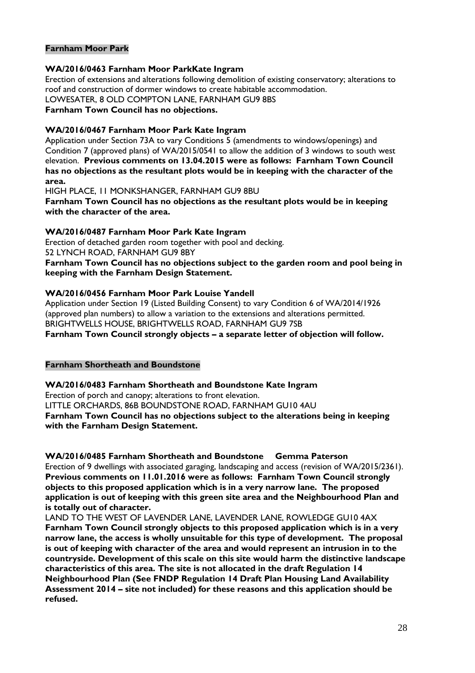#### **Farnham Moor Park**

#### **WA/2016/0463 Farnham Moor ParkKate Ingram**

Erection of extensions and alterations following demolition of existing conservatory; alterations to roof and construction of dormer windows to create habitable accommodation. LOWESATER, 8 OLD COMPTON LANE, FARNHAM GU9 8BS

**Farnham Town Council has no objections.** 

#### **WA/2016/0467 Farnham Moor Park Kate Ingram**

Application under Section 73A to vary Conditions 5 (amendments to windows/openings) and Condition 7 (approved plans) of WA/2015/0541 to allow the addition of 3 windows to south west elevation. **Previous comments on 13.04.2015 were as follows: Farnham Town Council has no objections as the resultant plots would be in keeping with the character of the area.**

HIGH PLACE, 11 MONKSHANGER, FARNHAM GU9 8BU

**Farnham Town Council has no objections as the resultant plots would be in keeping with the character of the area.**

#### **WA/2016/0487 Farnham Moor Park Kate Ingram**

Erection of detached garden room together with pool and decking. 52 LYNCH ROAD, FARNHAM GU9 8BY

**Farnham Town Council has no objections subject to the garden room and pool being in keeping with the Farnham Design Statement.**

#### **WA/2016/0456 Farnham Moor Park Louise Yandell**

Application under Section 19 (Listed Building Consent) to vary Condition 6 of WA/2014/1926 (approved plan numbers) to allow a variation to the extensions and alterations permitted. BRIGHTWELLS HOUSE, BRIGHTWELLS ROAD, FARNHAM GU9 7SB

**Farnham Town Council strongly objects – a separate letter of objection will follow.**

#### **Farnham Shortheath and Boundstone**

**WA/2016/0483 Farnham Shortheath and Boundstone Kate Ingram** Erection of porch and canopy; alterations to front elevation. LITTLE ORCHARDS, 86B BOUNDSTONE ROAD, FARNHAM GU10 4AU **Farnham Town Council has no objections subject to the alterations being in keeping with the Farnham Design Statement.**

**WA/2016/0485 Farnham Shortheath and Boundstone Gemma Paterson** Erection of 9 dwellings with associated garaging, landscaping and access (revision of WA/2015/2361). **Previous comments on 11.01.2016 were as follows: Farnham Town Council strongly objects to this proposed application which is in a very narrow lane. The proposed application is out of keeping with this green site area and the Neighbourhood Plan and is totally out of character.**

LAND TO THE WEST OF LAVENDER LANE, LAVENDER LANE, ROWLEDGE GU10 4AX **Farnham Town Council strongly objects to this proposed application which is in a very narrow lane, the access is wholly unsuitable for this type of development. The proposal is out of keeping with character of the area and would represent an intrusion in to the countryside. Development of this scale on this site would harm the distinctive landscape characteristics of this area. The site is not allocated in the draft Regulation 14 Neighbourhood Plan (See FNDP Regulation 14 Draft Plan Housing Land Availability Assessment 2014 – site not included) for these reasons and this application should be refused.**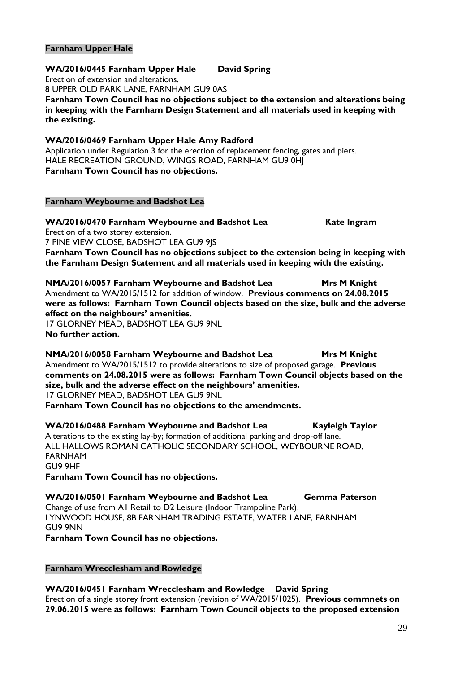#### **Farnham Upper Hale**

#### **WA/2016/0445 Farnham Upper Hale David Spring**

Erection of extension and alterations.

8 UPPER OLD PARK LANE, FARNHAM GU9 0AS

**Farnham Town Council has no objections subject to the extension and alterations being in keeping with the Farnham Design Statement and all materials used in keeping with the existing.**

#### **WA/2016/0469 Farnham Upper Hale Amy Radford**

Application under Regulation 3 for the erection of replacement fencing, gates and piers. HALE RECREATION GROUND, WINGS ROAD, FARNHAM GU9 0HJ **Farnham Town Council has no objections.**

#### **Farnham Weybourne and Badshot Lea**

#### **WA/2016/0470 Farnham Weybourne and Badshot Lea Kate Ingram**

Erection of a two storey extension. 7 PINE VIEW CLOSE, BADSHOT LEA GU9 9JS **Farnham Town Council has no objections subject to the extension being in keeping with the Farnham Design Statement and all materials used in keeping with the existing.**

**NMA/2016/0057 Farnham Weybourne and Badshot Lea Mrs M Knight** Amendment to WA/2015/1512 for addition of window. **Previous comments on 24.08.2015 were as follows: Farnham Town Council objects based on the size, bulk and the adverse effect on the neighbours' amenities.**

17 GLORNEY MEAD, BADSHOT LEA GU9 9NL **No further action.**

**NMA/2016/0058 Farnham Weybourne and Badshot Lea Mrs M Knight** Amendment to WA/2015/1512 to provide alterations to size of proposed garage. **Previous comments on 24.08.2015 were as follows: Farnham Town Council objects based on the size, bulk and the adverse effect on the neighbours' amenities.** 17 GLORNEY MEAD, BADSHOT LEA GU9 9NL **Farnham Town Council has no objections to the amendments.**

WA/2016/0488 Farnham Weybourne and Badshot Lea Kayleigh Taylor Alterations to the existing lay-by; formation of additional parking and drop-off lane. ALL HALLOWS ROMAN CATHOLIC SECONDARY SCHOOL, WEYBOURNE ROAD, FARNHAM GU9 9HF

**Farnham Town Council has no objections.**

**WA/2016/0501 Farnham Weybourne and Badshot Lea Gemma Paterson** Change of use from A1 Retail to D2 Leisure (Indoor Trampoline Park). LYNWOOD HOUSE, 8B FARNHAM TRADING ESTATE, WATER LANE, FARNHAM GU9 9NN **Farnham Town Council has no objections.**

#### **Farnham Wrecclesham and Rowledge**

**WA/2016/0451 Farnham Wrecclesham and Rowledge David Spring** Erection of a single storey front extension (revision of WA/2015/1025). **Previous commnets on 29.06.2015 were as follows: Farnham Town Council objects to the proposed extension**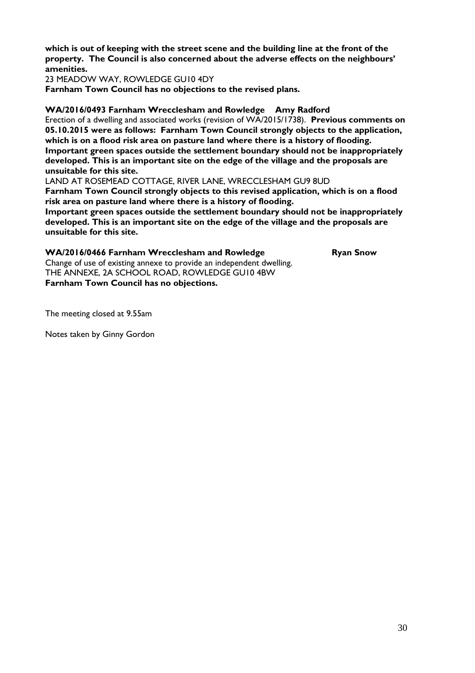**which is out of keeping with the street scene and the building line at the front of the property. The Council is also concerned about the adverse effects on the neighbours' amenities.**

23 MEADOW WAY, ROWLEDGE GU10 4DY

**Farnham Town Council has no objections to the revised plans.**

#### **WA/2016/0493 Farnham Wrecclesham and Rowledge Amy Radford**

Erection of a dwelling and associated works (revision of WA/2015/1738). **Previous comments on 05.10.2015 were as follows: Farnham Town Council strongly objects to the application, which is on a flood risk area on pasture land where there is a history of flooding. Important green spaces outside the settlement boundary should not be inappropriately developed. This is an important site on the edge of the village and the proposals are unsuitable for this site.**

LAND AT ROSEMEAD COTTAGE, RIVER LANE, WRECCLESHAM GU9 8UD **Farnham Town Council strongly objects to this revised application, which is on a flood risk area on pasture land where there is a history of flooding.** 

**Important green spaces outside the settlement boundary should not be inappropriately developed. This is an important site on the edge of the village and the proposals are unsuitable for this site.**

#### WA/2016/0466 Farnham Wrecclesham and Rowledge Ryan Snow

Change of use of existing annexe to provide an independent dwelling. THE ANNEXE, 2A SCHOOL ROAD, ROWLEDGE GU10 4BW **Farnham Town Council has no objections.**

The meeting closed at 9.55am

Notes taken by Ginny Gordon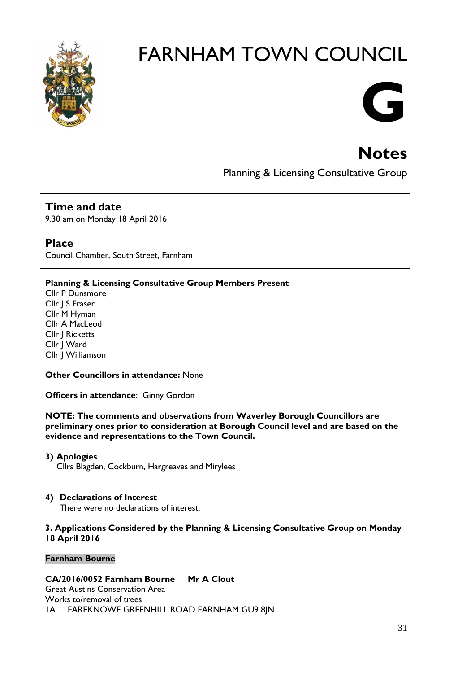

# **G**

## **Notes**

Planning & Licensing Consultative Group

### **Time and date**

9.30 am on Monday 18 April 2016

#### **Place**

Council Chamber, South Street, Farnham

#### **Planning & Licensing Consultative Group Members Present**

Cllr P Dunsmore Cllr J S Fraser Cllr M Hyman Cllr A MacLeod Cllr J Ricketts Cllr J Ward Cllr J Williamson

#### **Other Councillors in attendance:** None

**Officers in attendance**: Ginny Gordon

**NOTE: The comments and observations from Waverley Borough Councillors are preliminary ones prior to consideration at Borough Council level and are based on the evidence and representations to the Town Council.**

#### **3) Apologies**

Cllrs Blagden, Cockburn, Hargreaves and Mirylees

#### **4) Declarations of Interest**

There were no declarations of interest.

#### **3. Applications Considered by the Planning & Licensing Consultative Group on Monday 18 April 2016**

#### **Farnham Bourne**

#### **CA/2016/0052 Farnham Bourne Mr A Clout**

Great Austins Conservation Area Works to/removal of trees 1A FAREKNOWE GREENHILL ROAD FARNHAM GU9 8JN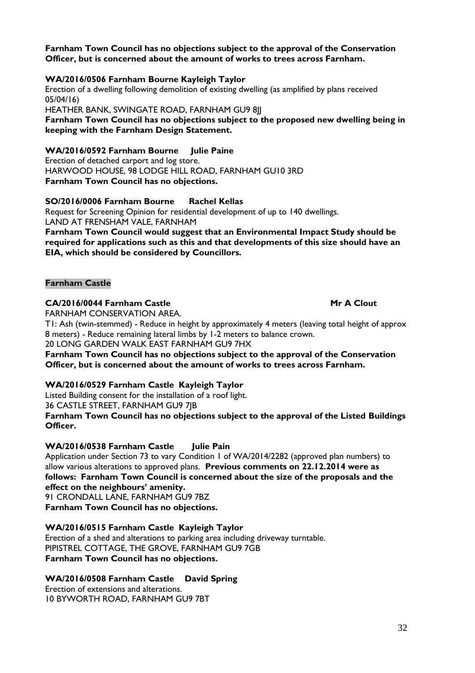#### **Farnham Town Council has no objections subject to the approval of the Conservation Officer, but is concerned about the amount of works to trees across Farnham.**

#### **WA/2016/0506 Farnham Bourne Kayleigh Taylor**

Erection of a dwelling following demolition of existing dwelling (as amplified by plans received 05/04/16)

HEATHER BANK, SWINGATE ROAD, FARNHAM GU9 8JJ

**Farnham Town Council has no objections subject to the proposed new dwelling being in keeping with the Farnham Design Statement.**

#### **WA/2016/0592 Farnham Bourne Julie Paine**

Erection of detached carport and log store. HARWOOD HOUSE, 98 LODGE HILL ROAD, FARNHAM GU10 3RD **Farnham Town Council has no objections.**

#### **SO/2016/0006 Farnham Bourne Rachel Kellas**

Request for Screening Opinion for residential development of up to 140 dwellings. LAND AT FRENSHAM VALE, FARNHAM

**Farnham Town Council would suggest that an Environmental Impact Study should be required for applications such as this and that developments of this size should have an EIA, which should be considered by Councillors.**

#### **Farnham Castle**

#### **CA/2016/0044 Farnham Castle Mr A Clout**

FARNHAM CONSERVATION AREA.

T1: Ash (twin-stemmed) - Reduce in height by approximately 4 meters (leaving total height of approx 8 meters) - Reduce remaining lateral limbs by 1-2 meters to balance crown.

20 LONG GARDEN WALK EAST FARNHAM GU9 7HX

**Farnham Town Council has no objections subject to the approval of the Conservation Officer, but is concerned about the amount of works to trees across Farnham.**

#### **WA/2016/0529 Farnham Castle Kayleigh Taylor**

Listed Building consent for the installation of a roof light.

36 CASTLE STREET, FARNHAM GU9 7JB

**Farnham Town Council has no objections subject to the approval of the Listed Buildings Officer.**

#### **WA/2016/0538 Farnham Castle Julie Pain**

Application under Section 73 to vary Condition 1 of WA/2014/2282 (approved plan numbers) to allow various alterations to approved plans. **Previous comments on 22.12.2014 were as follows: Farnham Town Council is concerned about the size of the proposals and the effect on the neighbours' amenity.**

91 CRONDALL LANE, FARNHAM GU9 7BZ **Farnham Town Council has no objections.**

#### **WA/2016/0515 Farnham Castle Kayleigh Taylor**

Erection of a shed and alterations to parking area including driveway turntable. PIPISTREL COTTAGE, THE GROVE, FARNHAM GU9 7GB **Farnham Town Council has no objections.**

#### **WA/2016/0508 Farnham Castle David Spring**

Erection of extensions and alterations. 10 BYWORTH ROAD, FARNHAM GU9 7BT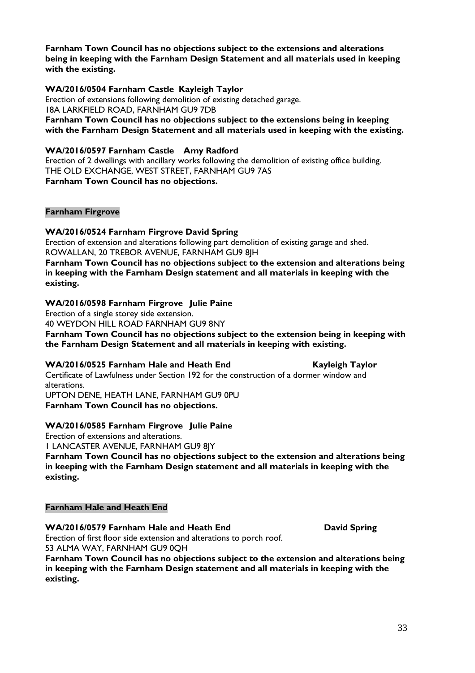**Farnham Town Council has no objections subject to the extensions and alterations being in keeping with the Farnham Design Statement and all materials used in keeping with the existing.**

#### **WA/2016/0504 Farnham Castle Kayleigh Taylor**

Erection of extensions following demolition of existing detached garage. 18A LARKFIELD ROAD, FARNHAM GU9 7DB **Farnham Town Council has no objections subject to the extensions being in keeping with the Farnham Design Statement and all materials used in keeping with the existing.**

#### **WA/2016/0597 Farnham Castle Amy Radford**

Erection of 2 dwellings with ancillary works following the demolition of existing office building. THE OLD EXCHANGE, WEST STREET, FARNHAM GU9 7AS **Farnham Town Council has no objections.**

#### **Farnham Firgrove**

#### **WA/2016/0524 Farnham Firgrove David Spring**

Erection of extension and alterations following part demolition of existing garage and shed. ROWALLAN, 20 TREBOR AVENUE, FARNHAM GU9 8JH

**Farnham Town Council has no objections subject to the extension and alterations being in keeping with the Farnham Design statement and all materials in keeping with the existing.**

#### **WA/2016/0598 Farnham Firgrove Julie Paine**

Erection of a single storey side extension.

40 WEYDON HILL ROAD FARNHAM GU9 8NY

**Farnham Town Council has no objections subject to the extension being in keeping with the Farnham Design Statement and all materials in keeping with existing.**

#### **WA/2016/0525 Farnham Hale and Heath End Kayleigh Taylor**

Certificate of Lawfulness under Section 192 for the construction of a dormer window and alterations.

UPTON DENE, HEATH LANE, FARNHAM GU9 0PU **Farnham Town Council has no objections.**

#### **WA/2016/0585 Farnham Firgrove Julie Paine**

Erection of extensions and alterations.

1 LANCASTER AVENUE, FARNHAM GU9 8JY

**Farnham Town Council has no objections subject to the extension and alterations being in keeping with the Farnham Design statement and all materials in keeping with the existing.**

#### **Farnham Hale and Heath End**

#### WA/2016/0579 Farnham Hale and Heath End **David Spring**

Erection of first floor side extension and alterations to porch roof. 53 ALMA WAY, FARNHAM GU9 0QH

**Farnham Town Council has no objections subject to the extension and alterations being in keeping with the Farnham Design statement and all materials in keeping with the existing.**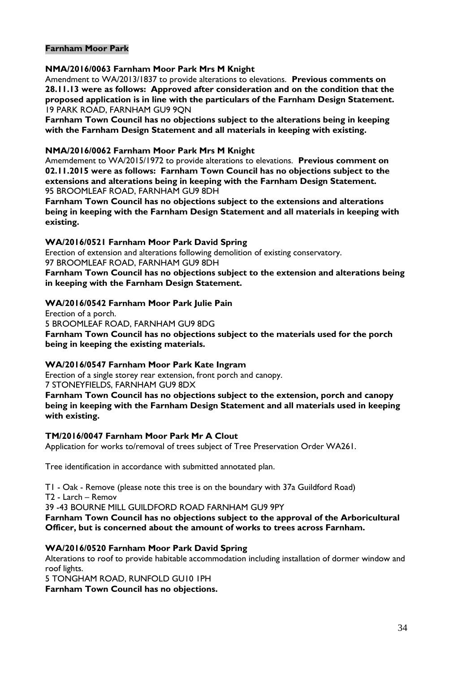#### **Farnham Moor Park**

#### **NMA/2016/0063 Farnham Moor Park Mrs M Knight**

Amendment to WA/2013/1837 to provide alterations to elevations. **Previous comments on 28.11.13 were as follows: Approved after consideration and on the condition that the proposed application is in line with the particulars of the Farnham Design Statement.** 19 PARK ROAD, FARNHAM GU9 9QN

**Farnham Town Council has no objections subject to the alterations being in keeping with the Farnham Design Statement and all materials in keeping with existing.**

#### **NMA/2016/0062 Farnham Moor Park Mrs M Knight**

Amemdement to WA/2015/1972 to provide alterations to elevations. **Previous comment on 02.11.2015 were as follows: Farnham Town Council has no objections subject to the extensions and alterations being in keeping with the Farnham Design Statement.** 95 BROOMLEAF ROAD, FARNHAM GU9 8DH

**Farnham Town Council has no objections subject to the extensions and alterations being in keeping with the Farnham Design Statement and all materials in keeping with existing.**

#### **WA/2016/0521 Farnham Moor Park David Spring**

Erection of extension and alterations following demolition of existing conservatory. 97 BROOMLEAF ROAD, FARNHAM GU9 8DH

**Farnham Town Council has no objections subject to the extension and alterations being in keeping with the Farnham Design Statement.**

#### **WA/2016/0542 Farnham Moor Park Julie Pain**

Erection of a porch. 5 BROOMLEAF ROAD, FARNHAM GU9 8DG **Farnham Town Council has no objections subject to the materials used for the porch being in keeping the existing materials.** 

#### **WA/2016/0547 Farnham Moor Park Kate Ingram**

Erection of a single storey rear extension, front porch and canopy. 7 STONEYFIELDS, FARNHAM GU9 8DX

**Farnham Town Council has no objections subject to the extension, porch and canopy being in keeping with the Farnham Design Statement and all materials used in keeping with existing.**

#### **TM/2016/0047 Farnham Moor Park Mr A Clout**

Application for works to/removal of trees subject of Tree Preservation Order WA261.

Tree identification in accordance with submitted annotated plan.

T1 - Oak - Remove (please note this tree is on the boundary with 37a Guildford Road)

T2 - Larch – Remov

39 -43 BOURNE MILL GUILDFORD ROAD FARNHAM GU9 9PY

**Farnham Town Council has no objections subject to the approval of the Arboricultural Officer, but is concerned about the amount of works to trees across Farnham.**

#### **WA/2016/0520 Farnham Moor Park David Spring**

Alterations to roof to provide habitable accommodation including installation of dormer window and roof lights.

5 TONGHAM ROAD, RUNFOLD GU10 1PH

**Farnham Town Council has no objections.**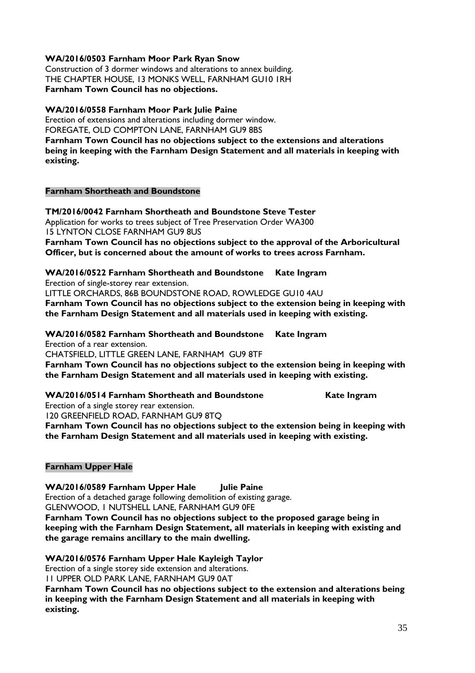#### **WA/2016/0503 Farnham Moor Park Ryan Snow**

Construction of 3 dormer windows and alterations to annex building. THE CHAPTER HOUSE, 13 MONKS WELL, FARNHAM GU10 1RH **Farnham Town Council has no objections.**

#### **WA/2016/0558 Farnham Moor Park Julie Paine**

Erection of extensions and alterations including dormer window. FOREGATE, OLD COMPTON LANE, FARNHAM GU9 8BS **Farnham Town Council has no objections subject to the extensions and alterations** 

**being in keeping with the Farnham Design Statement and all materials in keeping with existing.**

#### **Farnham Shortheath and Boundstone**

**TM/2016/0042 Farnham Shortheath and Boundstone Steve Tester** Application for works to trees subject of Tree Preservation Order WA300 15 LYNTON CLOSE FARNHAM GU9 8US **Farnham Town Council has no objections subject to the approval of the Arboricultural** 

**Officer, but is concerned about the amount of works to trees across Farnham.**

**WA/2016/0522 Farnham Shortheath and Boundstone Kate Ingram**

Erection of single-storey rear extension.

LITTLE ORCHARDS, 86B BOUNDSTONE ROAD, ROWLEDGE GU10 4AU

**Farnham Town Council has no objections subject to the extension being in keeping with the Farnham Design Statement and all materials used in keeping with existing.**

**WA/2016/0582 Farnham Shortheath and Boundstone Kate Ingram** Erection of a rear extension.

CHATSFIELD, LITTLE GREEN LANE, FARNHAM GU9 8TF

**Farnham Town Council has no objections subject to the extension being in keeping with the Farnham Design Statement and all materials used in keeping with existing.**

#### **WA/2016/0514 Farnham Shortheath and Boundstone Kate Ingram**

Erection of a single storey rear extension.

120 GREENFIELD ROAD, FARNHAM GU9 8TQ

**Farnham Town Council has no objections subject to the extension being in keeping with the Farnham Design Statement and all materials used in keeping with existing.**

#### **Farnham Upper Hale**

**WA/2016/0589 Farnham Upper Hale Julie Paine** Erection of a detached garage following demolition of existing garage. GLENWOOD, 1 NUTSHELL LANE, FARNHAM GU9 0FE **Farnham Town Council has no objections subject to the proposed garage being in keeping with the Farnham Design Statement, all materials in keeping with existing and the garage remains ancillary to the main dwelling.**

**WA/2016/0576 Farnham Upper Hale Kayleigh Taylor**

Erection of a single storey side extension and alterations.

11 UPPER OLD PARK LANE, FARNHAM GU9 0AT

**Farnham Town Council has no objections subject to the extension and alterations being in keeping with the Farnham Design Statement and all materials in keeping with existing.**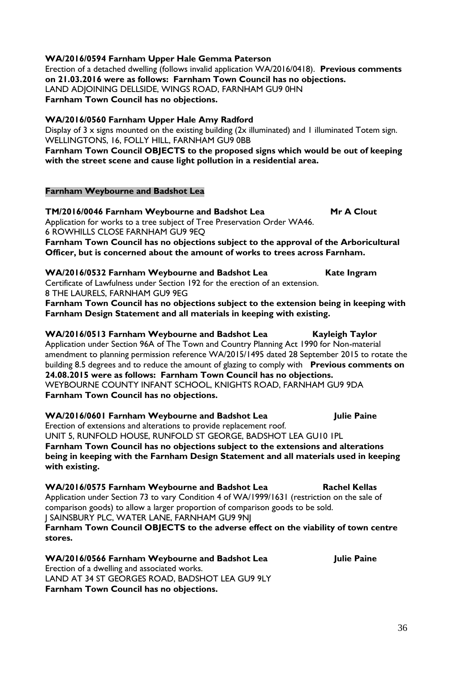#### **WA/2016/0594 Farnham Upper Hale Gemma Paterson**

Erection of a detached dwelling (follows invalid application WA/2016/0418). **Previous comments on 21.03.2016 were as follows: Farnham Town Council has no objections.** LAND ADJOINING DELLSIDE, WINGS ROAD, FARNHAM GU9 0HN **Farnham Town Council has no objections.**

#### **WA/2016/0560 Farnham Upper Hale Amy Radford**

Display of 3 x signs mounted on the existing building  $(2x$  illuminated) and 1 illuminated Totem sign. WELLINGTONS, 16, FOLLY HILL, FARNHAM GU9 0BB

**Farnham Town Council OBJECTS to the proposed signs which would be out of keeping with the street scene and cause light pollution in a residential area.**

#### **Farnham Weybourne and Badshot Lea**

**TM/2016/0046 Farnham Weybourne and Badshot Lea Mr A Clout** Application for works to a tree subject of Tree Preservation Order WA46. 6 ROWHILLS CLOSE FARNHAM GU9 9EQ **Farnham Town Council has no objections subject to the approval of the Arboricultural** 

**WA/2016/0532 Farnham Weybourne and Badshot Lea Kate Ingram** 

**Officer, but is concerned about the amount of works to trees across Farnham.**

Certificate of Lawfulness under Section 192 for the erection of an extension. 8 THE LAURELS, FARNHAM GU9 9EG

**Farnham Town Council has no objections subject to the extension being in keeping with Farnham Design Statement and all materials in keeping with existing.**

#### WA/2016/0513 Farnham Weybourne and Badshot Lea Kayleigh Taylor Application under Section 96A of The Town and Country Planning Act 1990 for Non-material amendment to planning permission reference WA/2015/1495 dated 28 September 2015 to rotate the building 8.5 degrees and to reduce the amount of glazing to comply with **Previous comments on 24.08.2015 were as follows: Farnham Town Council has no objections.** WEYBOURNE COUNTY INFANT SCHOOL, KNIGHTS ROAD, FARNHAM GU9 9DA **Farnham Town Council has no objections.**

**WA/2016/0601 Farnham Weybourne and Badshot Lea Julie Paine** Erection of extensions and alterations to provide replacement roof. UNIT 5, RUNFOLD HOUSE, RUNFOLD ST GEORGE, BADSHOT LEA GU10 1PL **Farnham Town Council has no objections subject to the extensions and alterations being in keeping with the Farnham Design Statement and all materials used in keeping with existing.**

WA/2016/0575 Farnham Weybourne and Badshot Lea Rachel Kellas Application under Section 73 to vary Condition 4 of WA/1999/1631 (restriction on the sale of comparison goods) to allow a larger proportion of comparison goods to be sold. J SAINSBURY PLC, WATER LANE, FARNHAM GU9 9NJ **Farnham Town Council OBJECTS to the adverse effect on the viability of town centre stores.**

**WA/2016/0566 Farnham Weybourne and Badshot Lea State State State Paine** Erection of a dwelling and associated works. LAND AT 34 ST GEORGES ROAD, BADSHOT LEA GU9 9LY **Farnham Town Council has no objections.**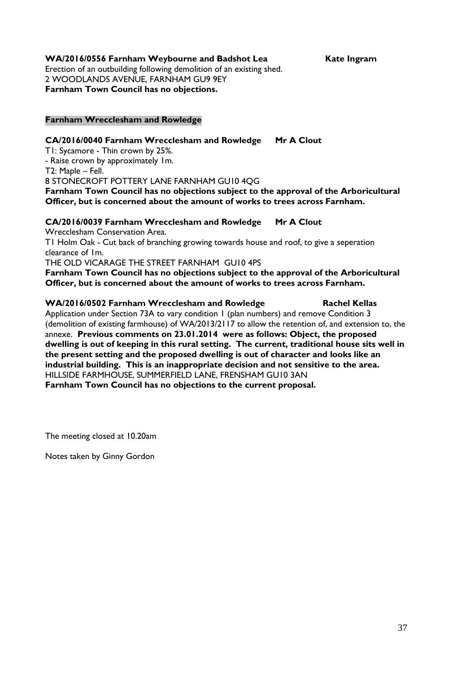WA/2016/0556 Farnham Weybourne and Badshot Lea Kate Ingram Erection of an outbuilding following demolition of an existing shed. 2 WOODLANDS AVENUE, FARNHAM GU9 9EY **Farnham Town Council has no objections.**

#### **Farnham Wrecclesham and Rowledge**

#### **CA/2016/0040 Farnham Wrecclesham and Rowledge Mr A Clout**

T1: Sycamore - Thin crown by 25%.

- Raise crown by approximately 1m.

T2: Maple – Fell.

8 STONECROFT POTTERY LANE FARNHAM GU10 4QG

**Farnham Town Council has no objections subject to the approval of the Arboricultural Officer, but is concerned about the amount of works to trees across Farnham.**

#### **CA/2016/0039 Farnham Wrecclesham and Rowledge Mr A Clout**

Wrecclesham Conservation Area.

T1 Holm Oak - Cut back of branching growing towards house and roof, to give a seperation clearance of 1m.

THE OLD VICARAGE THE STREET FARNHAM GU10 4PS

**Farnham Town Council has no objections subject to the approval of the Arboricultural Officer, but is concerned about the amount of works to trees across Farnham.**

#### **WA/2016/0502 Farnham Wrecclesham and Rowledge Rachel Kellas**

Application under Section 73A to vary condition 1 (plan numbers) and remove Condition 3 (demolition of existing farmhouse) of WA/2013/2117 to allow the retention of, and extension to, the annexe. **Previous comments on 23.01.2014 were as follows: Object, the proposed dwelling is out of keeping in this rural setting. The current, traditional house sits well in the present setting and the proposed dwelling is out of character and looks like an industrial building. This is an inappropriate decision and not sensitive to the area.** HILLSIDE FARMHOUSE, SUMMERFIELD LANE, FRENSHAM GU10 3AN **Farnham Town Council has no objections to the current proposal.**

The meeting closed at 10.20am

Notes taken by Ginny Gordon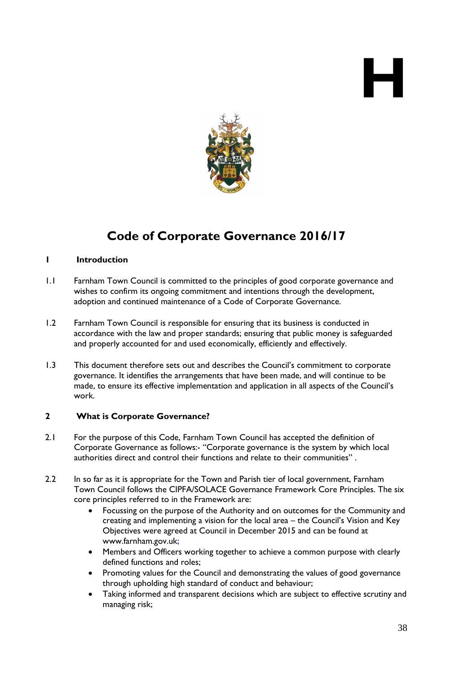# **H**



### **Code of Corporate Governance 2016/17**

#### **1 Introduction**

- 1.1 Farnham Town Council is committed to the principles of good corporate governance and wishes to confirm its ongoing commitment and intentions through the development, adoption and continued maintenance of a Code of Corporate Governance.
- 1.2 Farnham Town Council is responsible for ensuring that its business is conducted in accordance with the law and proper standards; ensuring that public money is safeguarded and properly accounted for and used economically, efficiently and effectively.
- 1.3 This document therefore sets out and describes the Council's commitment to corporate governance. It identifies the arrangements that have been made, and will continue to be made, to ensure its effective implementation and application in all aspects of the Council's work.

#### **2 What is Corporate Governance?**

- 2.1 For the purpose of this Code, Farnham Town Council has accepted the definition of Corporate Governance as follows:- "Corporate governance is the system by which local authorities direct and control their functions and relate to their communities" .
- 2.2 In so far as it is appropriate for the Town and Parish tier of local government, Farnham Town Council follows the CIPFA/SOLACE Governance Framework Core Principles. The six core principles referred to in the Framework are:
	- Focussing on the purpose of the Authority and on outcomes for the Community and creating and implementing a vision for the local area – the Council's Vision and Key Objectives were agreed at Council in December 2015 and can be found at [www.farnham.gov.uk;](http://www.farnham.gov.uk/)
	- Members and Officers working together to achieve a common purpose with clearly defined functions and roles;
	- Promoting values for the Council and demonstrating the values of good governance through upholding high standard of conduct and behaviour;
	- Taking informed and transparent decisions which are subject to effective scrutiny and managing risk;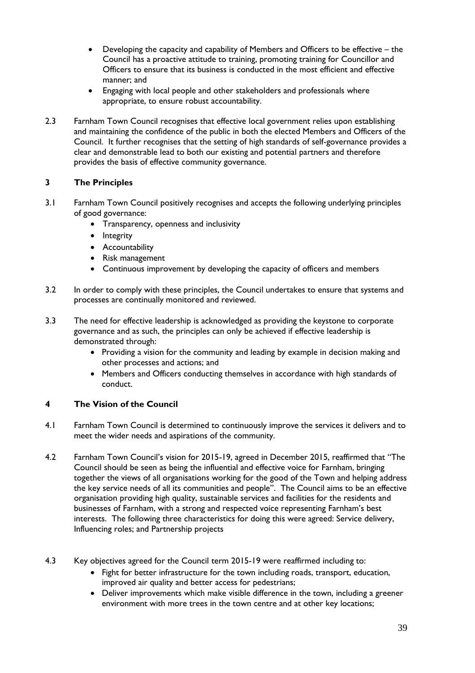- Developing the capacity and capability of Members and Officers to be effective the Council has a proactive attitude to training, promoting training for Councillor and Officers to ensure that its business is conducted in the most efficient and effective manner; and
- Engaging with local people and other stakeholders and professionals where appropriate, to ensure robust accountability.
- 2.3 Farnham Town Council recognises that effective local government relies upon establishing and maintaining the confidence of the public in both the elected Members and Officers of the Council. It further recognises that the setting of high standards of self-governance provides a clear and demonstrable lead to both our existing and potential partners and therefore provides the basis of effective community governance.

#### **3 The Principles**

- 3.1 Farnham Town Council positively recognises and accepts the following underlying principles of good governance:
	- Transparency, openness and inclusivity
	- Integrity
	- **•** Accountability
	- Risk management
	- Continuous improvement by developing the capacity of officers and members
- 3.2 In order to comply with these principles, the Council undertakes to ensure that systems and processes are continually monitored and reviewed.
- 3.3 The need for effective leadership is acknowledged as providing the keystone to corporate governance and as such, the principles can only be achieved if effective leadership is demonstrated through:
	- Providing a vision for the community and leading by example in decision making and other processes and actions; and
	- Members and Officers conducting themselves in accordance with high standards of conduct.

#### **4 The Vision of the Council**

- 4.1 Farnham Town Council is determined to continuously improve the services it delivers and to meet the wider needs and aspirations of the community.
- 4.2 Farnham Town Council's vision for 2015-19, agreed in December 2015, reaffirmed that "The Council should be seen as being the influential and effective voice for Farnham, bringing together the views of all organisations working for the good of the Town and helping address the key service needs of all its communities and people". The Council aims to be an effective organisation providing high quality, sustainable services and facilities for the residents and businesses of Farnham, with a strong and respected voice representing Farnham's best interests. The following three characteristics for doing this were agreed: Service delivery, Influencing roles; and Partnership projects
- 4.3 Key objectives agreed for the Council term 2015-19 were reaffirmed including to:
	- Fight for better infrastructure for the town including roads, transport, education, improved air quality and better access for pedestrians;
	- Deliver improvements which make visible difference in the town, including a greener environment with more trees in the town centre and at other key locations;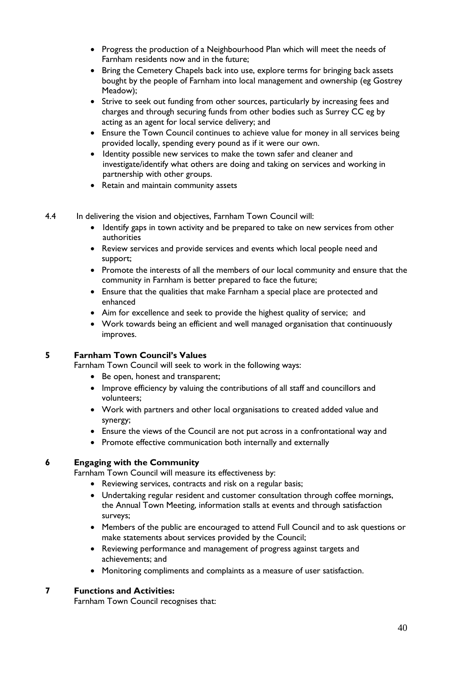- Progress the production of a Neighbourhood Plan which will meet the needs of Farnham residents now and in the future;
- Bring the Cemetery Chapels back into use, explore terms for bringing back assets bought by the people of Farnham into local management and ownership (eg Gostrey Meadow);
- Strive to seek out funding from other sources, particularly by increasing fees and charges and through securing funds from other bodies such as Surrey CC eg by acting as an agent for local service delivery; and
- Ensure the Town Council continues to achieve value for money in all services being provided locally, spending every pound as if it were our own.
- Identity possible new services to make the town safer and cleaner and investigate/identify what others are doing and taking on services and working in partnership with other groups.
- Retain and maintain community assets
- 4.4 In delivering the vision and objectives, Farnham Town Council will:
	- Identify gaps in town activity and be prepared to take on new services from other authorities
	- Review services and provide services and events which local people need and support;
	- Promote the interests of all the members of our local community and ensure that the community in Farnham is better prepared to face the future;
	- Ensure that the qualities that make Farnham a special place are protected and enhanced
	- Aim for excellence and seek to provide the highest quality of service; and
	- Work towards being an efficient and well managed organisation that continuously improves.

#### **5 Farnham Town Council's Values**

Farnham Town Council will seek to work in the following ways:

- Be open, honest and transparent;
- Improve efficiency by valuing the contributions of all staff and councillors and volunteers;
- Work with partners and other local organisations to created added value and synergy;
- Ensure the views of the Council are not put across in a confrontational way and
- Promote effective communication both internally and externally

#### **6 Engaging with the Community**

Farnham Town Council will measure its effectiveness by:

- Reviewing services, contracts and risk on a regular basis;
- Undertaking regular resident and customer consultation through coffee mornings, the Annual Town Meeting, information stalls at events and through satisfaction surveys;
- Members of the public are encouraged to attend Full Council and to ask questions or make statements about services provided by the Council;
- Reviewing performance and management of progress against targets and achievements; and
- Monitoring compliments and complaints as a measure of user satisfaction.

#### **7 Functions and Activities:**

Farnham Town Council recognises that: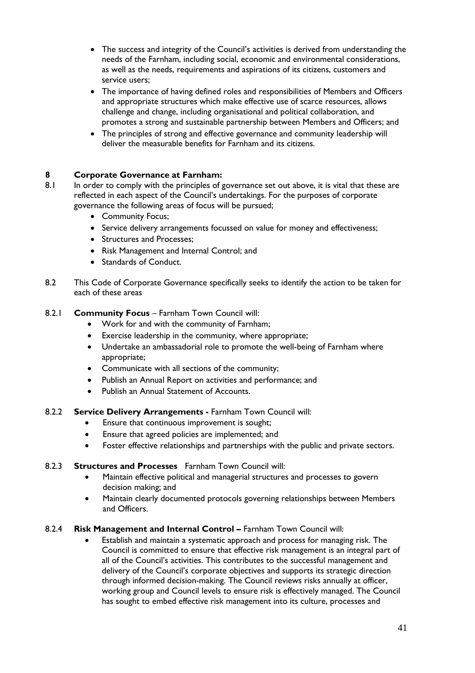- The success and integrity of the Council's activities is derived from understanding the needs of the Farnham, including social, economic and environmental considerations, as well as the needs, requirements and aspirations of its citizens, customers and service users;
- The importance of having defined roles and responsibilities of Members and Officers and appropriate structures which make effective use of scarce resources, allows challenge and change, including organisational and political collaboration, and promotes a strong and sustainable partnership between Members and Officers; and
- The principles of strong and effective governance and community leadership will deliver the measurable benefits for Farnham and its citizens.

#### **8 Corporate Governance at Farnham:**

- 8.1 In order to comply with the principles of governance set out above, it is vital that these are reflected in each aspect of the Council's undertakings. For the purposes of corporate governance the following areas of focus will be pursued;
	- Community Focus;
	- Service delivery arrangements focussed on value for money and effectiveness;
	- Structures and Processes;
	- Risk Management and Internal Control; and
	- Standards of Conduct.
- 8.2 This Code of Corporate Governance specifically seeks to identify the action to be taken for each of these areas

#### 8.2.1 **Community Focus - Farnham Town Council will:**

- Work for and with the community of Farnham;
- Exercise leadership in the community, where appropriate;
- Undertake an ambassadorial role to promote the well-being of Farnham where appropriate;
- Communicate with all sections of the community;
- Publish an Annual Report on activities and performance; and
- Publish an Annual Statement of Accounts.
- 8.2.2 **Service Delivery Arrangements -** Farnham Town Council will:
	- **•** Ensure that continuous improvement is sought;
	- Ensure that agreed policies are implemented; and
	- Foster effective relationships and partnerships with the public and private sectors.

#### 8.2.3 **Structures and Processes** Farnham Town Council will:

- Maintain effective political and managerial structures and processes to govern decision making; and
- Maintain clearly documented protocols governing relationships between Members and Officers.

#### 8.2.4 **Risk Management and Internal Control –** Farnham Town Council will:

 Establish and maintain a systematic approach and process for managing risk. The Council is committed to ensure that effective risk management is an integral part of all of the Council's activities. This contributes to the successful management and delivery of the Council's corporate objectives and supports its strategic direction through informed decision-making. The Council reviews risks annually at officer, working group and Council levels to ensure risk is effectively managed. The Council has sought to embed effective risk management into its culture, processes and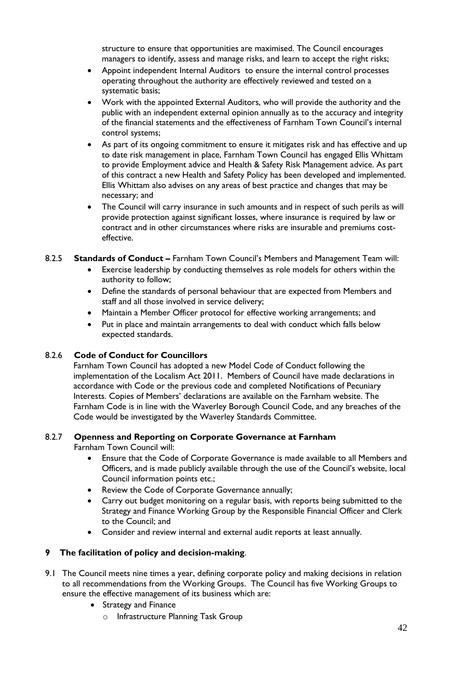structure to ensure that opportunities are maximised. The Council encourages managers to identify, assess and manage risks, and learn to accept the right risks;

- Appoint independent Internal Auditors to ensure the internal control processes operating throughout the authority are effectively reviewed and tested on a systematic basis;
- Work with the appointed External Auditors, who will provide the authority and the public with an independent external opinion annually as to the accuracy and integrity of the financial statements and the effectiveness of Farnham Town Council's internal control systems;
- As part of its ongoing commitment to ensure it mitigates risk and has effective and up to date risk management in place, Farnham Town Council has engaged Ellis Whittam to provide Employment advice and Health & Safety Risk Management advice. As part of this contract a new Health and Safety Policy has been developed and implemented. Ellis Whittam also advises on any areas of best practice and changes that may be necessary; and
- The Council will carry insurance in such amounts and in respect of such perils as will provide protection against significant losses, where insurance is required by law or contract and in other circumstances where risks are insurable and premiums costeffective.

#### 8.2.5 **Standards of Conduct –** Farnham Town Council's Members and Management Team will:

- Exercise leadership by conducting themselves as role models for others within the authority to follow;
- Define the standards of personal behaviour that are expected from Members and staff and all those involved in service delivery;
- Maintain a Member Officer protocol for effective working arrangements; and
- Put in place and maintain arrangements to deal with conduct which falls below expected standards.

#### 8.2.6 **Code of Conduct for Councillors**

Farnham Town Council has adopted a new Model Code of Conduct following the implementation of the Localism Act 2011. Members of Council have made declarations in accordance with Code or the previous code and completed Notifications of Pecuniary Interests. Copies of Members' declarations are available on the Farnham website. The Farnham Code is in line with the Waverley Borough Council Code, and any breaches of the Code would be investigated by the Waverley Standards Committee.

#### 8.2.7 **Openness and Reporting on Corporate Governance at Farnham**

Farnham Town Council will:

- Ensure that the Code of Corporate Governance is made available to all Members and Officers, and is made publicly available through the use of the Council's website, local Council information points etc.;
- Review the Code of Corporate Governance annually;
- Carry out budget monitoring on a regular basis, with reports being submitted to the Strategy and Finance Working Group by the Responsible Financial Officer and Clerk to the Council; and
- Consider and review internal and external audit reports at least annually.

#### **9 The facilitation of policy and decision-making**.

- 9.1 The Council meets nine times a year, defining corporate policy and making decisions in relation to all recommendations from the Working Groups. The Council has five Working Groups to ensure the effective management of its business which are:
	- Strategy and Finance
		- o Infrastructure Planning Task Group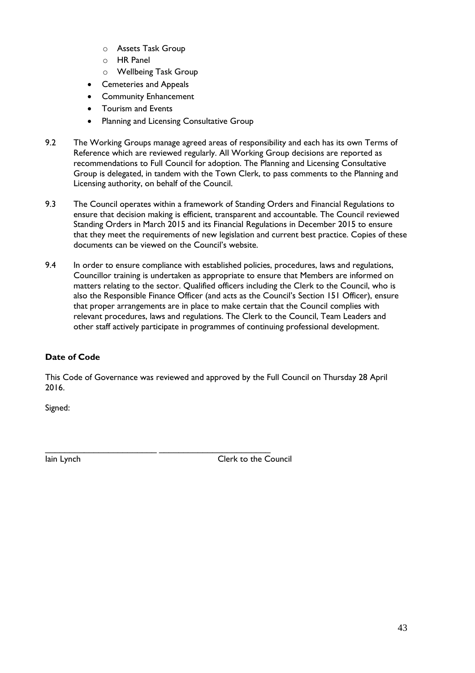- o Assets Task Group
- o HR Panel
- o Wellbeing Task Group
- Cemeteries and Appeals
- Community Enhancement
- Tourism and Events
- Planning and Licensing Consultative Group
- 9.2 The Working Groups manage agreed areas of responsibility and each has its own Terms of Reference which are reviewed regularly. All Working Group decisions are reported as recommendations to Full Council for adoption. The Planning and Licensing Consultative Group is delegated, in tandem with the Town Clerk, to pass comments to the Planning and Licensing authority, on behalf of the Council.
- 9.3 The Council operates within a framework of Standing Orders and Financial Regulations to ensure that decision making is efficient, transparent and accountable. The Council reviewed Standing Orders in March 2015 and its Financial Regulations in December 2015 to ensure that they meet the requirements of new legislation and current best practice. Copies of these documents can be viewed on the Council's website.
- 9.4 In order to ensure compliance with established policies, procedures, laws and regulations, Councillor training is undertaken as appropriate to ensure that Members are informed on matters relating to the sector. Qualified officers including the Clerk to the Council, who is also the Responsible Finance Officer (and acts as the Council's Section 151 Officer), ensure that proper arrangements are in place to make certain that the Council complies with relevant procedures, laws and regulations. The Clerk to the Council, Team Leaders and other staff actively participate in programmes of continuing professional development.

#### **Date of Code**

This Code of Governance was reviewed and approved by the Full Council on Thursday 28 April 2016.

\_\_\_\_\_\_\_\_\_\_\_\_\_\_\_\_\_\_\_\_\_\_\_ \_\_\_\_\_\_\_\_\_\_\_\_\_\_\_\_\_\_\_\_\_\_\_

Signed:

Iain Lynch Clerk to the Council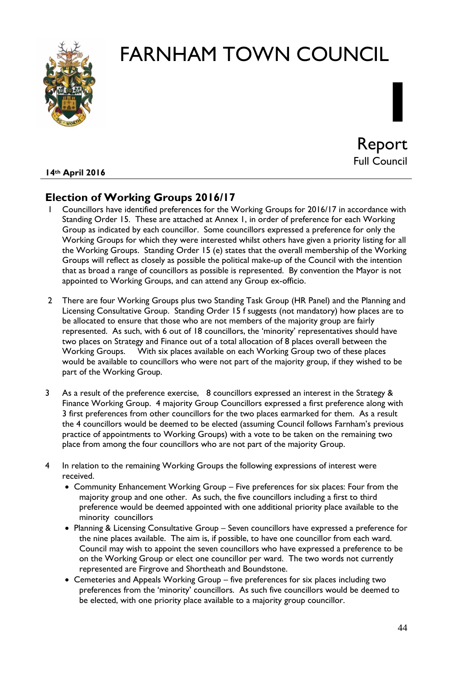

# **I** Report Full Council

#### **14th April 2016**

#### **Election of Working Groups 2016/17**

- 1 Councillors have identified preferences for the Working Groups for 2016/17 in accordance with Standing Order 15. These are attached at Annex 1, in order of preference for each Working Group as indicated by each councillor. Some councillors expressed a preference for only the Working Groups for which they were interested whilst others have given a priority listing for all the Working Groups. Standing Order 15 (e) states that the overall membership of the Working Groups will reflect as closely as possible the political make-up of the Council with the intention that as broad a range of councillors as possible is represented. By convention the Mayor is not appointed to Working Groups, and can attend any Group ex-officio.
- 2 There are four Working Groups plus two Standing Task Group (HR Panel) and the Planning and Licensing Consultative Group. Standing Order 15 f suggests (not mandatory) how places are to be allocated to ensure that those who are not members of the majority group are fairly represented. As such, with 6 out of 18 councillors, the 'minority' representatives should have two places on Strategy and Finance out of a total allocation of 8 places overall between the Working Groups. With six places available on each Working Group two of these places would be available to councillors who were not part of the majority group, if they wished to be part of the Working Group.
- 3 As a result of the preference exercise, 8 councillors expressed an interest in the Strategy & Finance Working Group. 4 majority Group Councillors expressed a first preference along with 3 first preferences from other councillors for the two places earmarked for them. As a result the 4 councillors would be deemed to be elected (assuming Council follows Farnham's previous practice of appointments to Working Groups) with a vote to be taken on the remaining two place from among the four councillors who are not part of the majority Group.
- 4 In relation to the remaining Working Groups the following expressions of interest were received.
	- Community Enhancement Working Group Five preferences for six places: Four from the majority group and one other. As such, the five councillors including a first to third preference would be deemed appointed with one additional priority place available to the minority councillors
	- Planning & Licensing Consultative Group Seven councillors have expressed a preference for the nine places available. The aim is, if possible, to have one councillor from each ward. Council may wish to appoint the seven councillors who have expressed a preference to be on the Working Group or elect one councillor per ward. The two words not currently represented are Firgrove and Shortheath and Boundstone.
	- Cemeteries and Appeals Working Group five preferences for six places including two preferences from the 'minority' councillors. As such five councillors would be deemed to be elected, with one priority place available to a majority group councillor.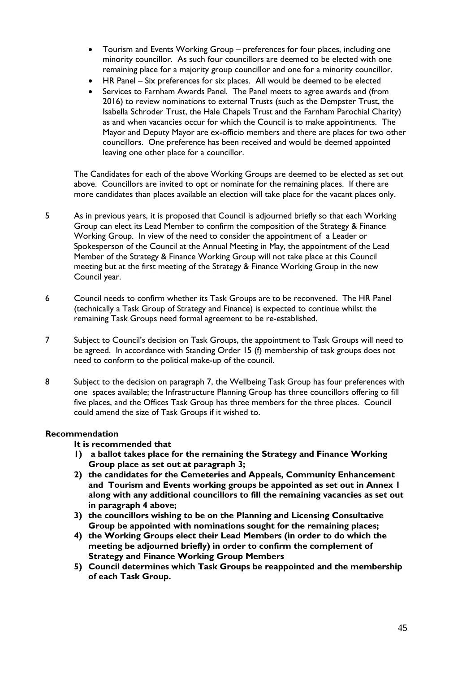- Tourism and Events Working Group preferences for four places, including one minority councillor. As such four councillors are deemed to be elected with one remaining place for a majority group councillor and one for a minority councillor.
- HR Panel Six preferences for six places. All would be deemed to be elected
- Services to Farnham Awards Panel. The Panel meets to agree awards and (from 2016) to review nominations to external Trusts (such as the Dempster Trust, the Isabella Schroder Trust, the Hale Chapels Trust and the Farnham Parochial Charity) as and when vacancies occur for which the Council is to make appointments. The Mayor and Deputy Mayor are ex-officio members and there are places for two other councillors. One preference has been received and would be deemed appointed leaving one other place for a councillor.

The Candidates for each of the above Working Groups are deemed to be elected as set out above. Councillors are invited to opt or nominate for the remaining places. If there are more candidates than places available an election will take place for the vacant places only.

- 5 As in previous years, it is proposed that Council is adjourned briefly so that each Working Group can elect its Lead Member to confirm the composition of the Strategy & Finance Working Group. In view of the need to consider the appointment of a Leader or Spokesperson of the Council at the Annual Meeting in May, the appointment of the Lead Member of the Strategy & Finance Working Group will not take place at this Council meeting but at the first meeting of the Strategy & Finance Working Group in the new Council year.
- 6 Council needs to confirm whether its Task Groups are to be reconvened. The HR Panel (technically a Task Group of Strategy and Finance) is expected to continue whilst the remaining Task Groups need formal agreement to be re-established.
- 7 Subject to Council's decision on Task Groups, the appointment to Task Groups will need to be agreed. In accordance with Standing Order 15 (f) membership of task groups does not need to conform to the political make-up of the council.
- 8 Subject to the decision on paragraph 7, the Wellbeing Task Group has four preferences with one spaces available; the Infrastructure Planning Group has three councillors offering to fill five places, and the Offices Task Group has three members for the three places. Council could amend the size of Task Groups if it wished to.

#### **Recommendation**

#### **It is recommended that**

- **1) a ballot takes place for the remaining the Strategy and Finance Working Group place as set out at paragraph 3;**
- **2) the candidates for the Cemeteries and Appeals, Community Enhancement and Tourism and Events working groups be appointed as set out in Annex 1 along with any additional councillors to fill the remaining vacancies as set out in paragraph 4 above;**
- **3) the councillors wishing to be on the Planning and Licensing Consultative Group be appointed with nominations sought for the remaining places;**
- **4) the Working Groups elect their Lead Members (in order to do which the meeting be adjourned briefly) in order to confirm the complement of Strategy and Finance Working Group Members**
- **5) Council determines which Task Groups be reappointed and the membership of each Task Group.**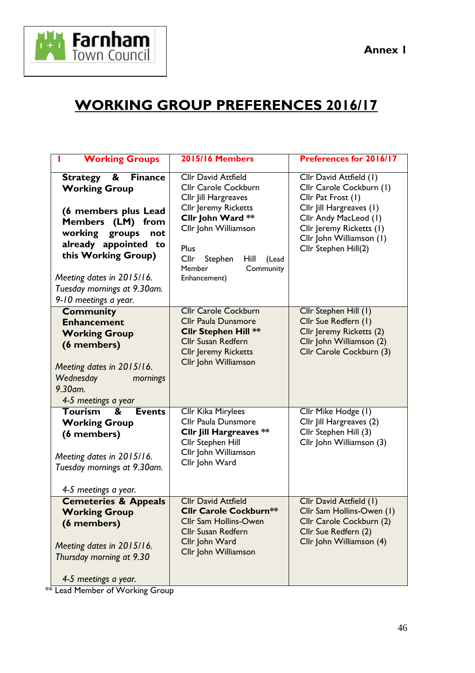



## **WORKING GROUP PREFERENCES 2016/17**

| <b>Working Groups</b>                                                                                                                                                                                                                                             | <b>2015/16 Members</b>                                                                                                                                                                                                                    | <b>Preferences for 2016/17</b>                                                                                                                                                                                 |
|-------------------------------------------------------------------------------------------------------------------------------------------------------------------------------------------------------------------------------------------------------------------|-------------------------------------------------------------------------------------------------------------------------------------------------------------------------------------------------------------------------------------------|----------------------------------------------------------------------------------------------------------------------------------------------------------------------------------------------------------------|
| Strategy &<br><b>Finance</b><br><b>Working Group</b><br>(6 members plus Lead<br>Members (LM) from<br>working<br>groups<br>not<br>already appointed to<br>this Working Group)<br>Meeting dates in 2015/16.<br>Tuesday mornings at 9.30am.<br>9-10 meetings a year. | <b>Cllr David Attfield</b><br>Cllr Carole Cockburn<br>Cllr Jill Hargreaves<br><b>Cllr Jeremy Ricketts</b><br>Cllr John Ward **<br>Cllr John Williamson<br>Plus<br>Cllr<br>Stephen<br>Hill<br>(Lead<br>Member<br>Community<br>Enhancement) | Cllr David Attfield (1)<br>Cllr Carole Cockburn (1)<br>Cllr Pat Frost (1)<br>Cllr Jill Hargreaves (1)<br>Cllr Andy MacLeod (1)<br>Cllr Jeremy Ricketts (1)<br>Cllr John Williamson (1)<br>Cllr Stephen Hill(2) |
| <b>Community</b><br><b>Enhancement</b><br><b>Working Group</b><br>(6 members)<br>Meeting dates in 2015/16.<br>Wednesday<br>mornings<br>9.30am.<br>4-5 meetings a year                                                                                             | <b>Cllr Carole Cockburn</b><br><b>Cllr Paula Dunsmore</b><br><b>Cllr Stephen Hill **</b><br><b>Cllr Susan Redfern</b><br><b>Cllr Jeremy Ricketts</b><br>Cllr John Williamson                                                              | Cllr Stephen Hill (1)<br>Cllr Sue Redfern (1)<br>Cllr Jeremy Ricketts (2)<br>Cllr John Williamson (2)<br>Cllr Carole Cockburn (3)                                                                              |
| <b>Tourism</b><br>&<br><b>Events</b><br><b>Working Group</b><br>(6 members)<br>Meeting dates in 2015/16.<br>Tuesday mornings at 9.30am.<br>4-5 meetings a year.                                                                                                   | Cllr Kika Mirylees<br>Cllr Paula Dunsmore<br><b>Cllr Jill Hargreaves **</b><br>Cllr Stephen Hill<br>Cllr John Williamson<br>Cllr John Ward                                                                                                |                                                                                                                                                                                                                |
| <b>Cemeteries &amp; Appeals</b><br><b>Working Group</b><br>(6 members)<br>Meeting dates in 2015/16.<br>Thursday morning at 9.30<br>4-5 meetings a year.                                                                                                           | <b>Cllr David Attfield</b><br><b>Cllr Carole Cockburn**</b><br>Cllr Sam Hollins-Owen<br><b>Cllr Susan Redfern</b><br>Cllr John Ward<br>Cllr John Williamson                                                                               | Cllr David Attfield (1)<br>Cllr Sam Hollins-Owen (1)<br>Cllr Carole Cockburn (2)<br>Cllr Sue Redfern (2)<br>Cllr John Williamson (4)                                                                           |

\*\* Lead Member of Working Group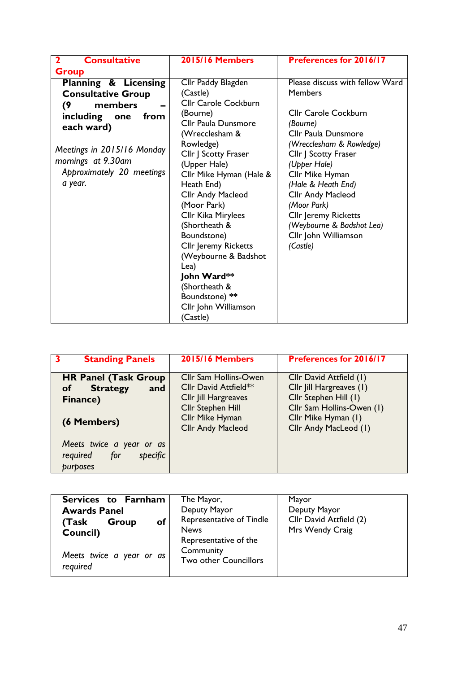| <b>Consultative</b><br>$\overline{\mathbf{2}}$ | <b>2015/16 Members</b>      | <b>Preferences for 2016/17</b>  |
|------------------------------------------------|-----------------------------|---------------------------------|
| <b>Group</b>                                   |                             |                                 |
| Planning & Licensing                           | Cllr Paddy Blagden          | Please discuss with fellow Ward |
| <b>Consultative Group</b>                      | (Castle)                    | <b>Members</b>                  |
| members<br>(9)                                 | Cllr Carole Cockburn        |                                 |
| including<br>from<br>one                       | (Bourne)                    | <b>Cllr Carole Cockburn</b>     |
| each ward)                                     | Cllr Paula Dunsmore         | (Bourne)                        |
|                                                | (Wrecclesham &              | <b>Cllr Paula Dunsmore</b>      |
|                                                | Rowledge)                   | (Wrecclesham & Rowledge)        |
| Meetings in 2015/16 Monday                     | Cllr J Scotty Fraser        | Cllr J Scotty Fraser            |
| mornings at 9.30am                             | (Upper Hale)                | (Upper Hale)                    |
| Approximately 20 meetings                      | Cllr Mike Hyman (Hale &     | Cllr Mike Hyman                 |
| a year.                                        | Heath End)                  | (Hale & Heath End)              |
|                                                | <b>Cllr Andy Macleod</b>    | <b>Cllr Andy Macleod</b>        |
|                                                | (Moor Park)                 | (Moor Park)                     |
|                                                | Cllr Kika Mirylees          | <b>Cllr Jeremy Ricketts</b>     |
|                                                | (Shortheath &               | (Weybourne & Badshot Lea)       |
|                                                | Boundstone)                 | Cllr John Williamson            |
|                                                | <b>Cllr Jeremy Ricketts</b> | (Castle)                        |
|                                                | (Weybourne & Badshot        |                                 |
|                                                | Lea)                        |                                 |
|                                                | John Ward**                 |                                 |
|                                                | (Shortheath &               |                                 |
|                                                | Boundstone) **              |                                 |
|                                                | Cllr John Williamson        |                                 |
|                                                | (Castle)                    |                                 |

| <b>Standing Panels</b>                                              | <b>2015/16 Members</b>   | Preferences for 2016/17   |
|---------------------------------------------------------------------|--------------------------|---------------------------|
| <b>HR Panel (Task Group</b>                                         | Cllr Sam Hollins-Owen    | Cllr David Attfield (1)   |
| <b>Strategy</b><br><b>of</b><br>and                                 | Cllr David Attfield**    | Cllr Jill Hargreaves (1)  |
| Finance)                                                            | Cllr Jill Hargreaves     | Cllr Stephen Hill (1)     |
|                                                                     | Cllr Stephen Hill        | Cllr Sam Hollins-Owen (1) |
| (6 Members)                                                         | Cllr Mike Hyman          | Cllr Mike Hyman (1)       |
|                                                                     | <b>Cllr Andy Macleod</b> | Cllr Andy MacLeod (1)     |
| Meets twice a year or as<br>for<br>required<br>specific<br>purposes |                          |                           |

| Services to Farnham<br><b>Awards Panel</b><br><b>of</b><br>Group<br>(Task<br>Council) | The Mayor,<br>Deputy Mayor<br>Representative of Tindle<br><b>News</b><br>Representative of the | Mayor<br>Deputy Mayor<br>Cllr David Attfield (2)<br>Mrs Wendy Craig |
|---------------------------------------------------------------------------------------|------------------------------------------------------------------------------------------------|---------------------------------------------------------------------|
| Meets twice a year or as<br>required                                                  | Community<br>Two other Councillors                                                             |                                                                     |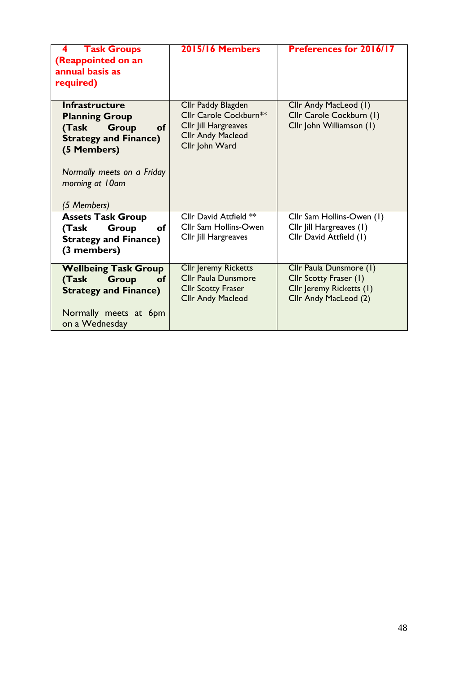| <b>Task Groups</b><br>4<br>(Reappointed on an<br>annual basis as<br>required)                                                                                                                       | <b>2015/16 Members</b>                                                                                             | Preferences for 2016/17                                                                                |
|-----------------------------------------------------------------------------------------------------------------------------------------------------------------------------------------------------|--------------------------------------------------------------------------------------------------------------------|--------------------------------------------------------------------------------------------------------|
| <b>Infrastructure</b><br><b>Planning Group</b><br><b>Group</b><br><b>of</b><br>(Task<br><b>Strategy and Finance)</b><br>(5 Members)<br>Normally meets on a Friday<br>morning at 10am<br>(5 Members) | Cllr Paddy Blagden<br>Cllr Carole Cockburn**<br>Cllr Jill Hargreaves<br><b>Cllr Andy Macleod</b><br>Cllr John Ward | Cllr Andy MacLeod (1)<br>Cllr Carole Cockburn (1)<br>Cllr John Williamson (1)                          |
| <b>Assets Task Group</b><br>Group<br>οf<br>(Task<br><b>Strategy and Finance)</b><br>(3 members)                                                                                                     | Cllr David Attfield **<br><b>Cllr Sam Hollins-Owen</b><br>Cllr Jill Hargreaves                                     | Cllr Sam Hollins-Owen (1)<br>Cllr Jill Hargreaves (1)<br>Cllr David Attfield (1)                       |
| <b>Wellbeing Task Group</b><br><b>Group</b><br>(Task<br><b>of</b><br><b>Strategy and Finance)</b><br>Normally meets at 6pm<br>on a Wednesday                                                        | <b>Cllr Jeremy Ricketts</b><br><b>Cllr Paula Dunsmore</b><br><b>Cllr Scotty Fraser</b><br><b>Cllr Andy Macleod</b> | Cllr Paula Dunsmore (1)<br>Cllr Scotty Fraser (1)<br>Cllr Jeremy Ricketts (1)<br>Cllr Andy MacLeod (2) |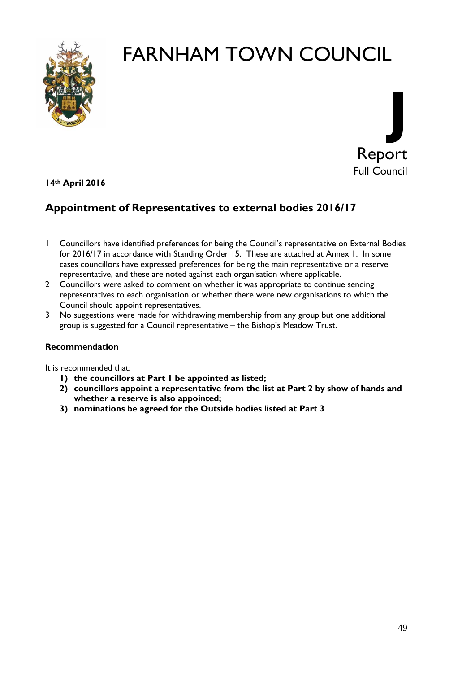



#### **14th April 2016**

#### **Appointment of Representatives to external bodies 2016/17**

- 1 Councillors have identified preferences for being the Council's representative on External Bodies for 2016/17 in accordance with Standing Order 15. These are attached at Annex 1. In some cases councillors have expressed preferences for being the main representative or a reserve representative, and these are noted against each organisation where applicable.
- 2 Councillors were asked to comment on whether it was appropriate to continue sending representatives to each organisation or whether there were new organisations to which the Council should appoint representatives.
- 3 No suggestions were made for withdrawing membership from any group but one additional group is suggested for a Council representative – the Bishop's Meadow Trust.

#### **Recommendation**

It is recommended that:

- **1) the councillors at Part 1 be appointed as listed;**
- **2) councillors appoint a representative from the list at Part 2 by show of hands and whether a reserve is also appointed;**
- **3) nominations be agreed for the Outside bodies listed at Part 3**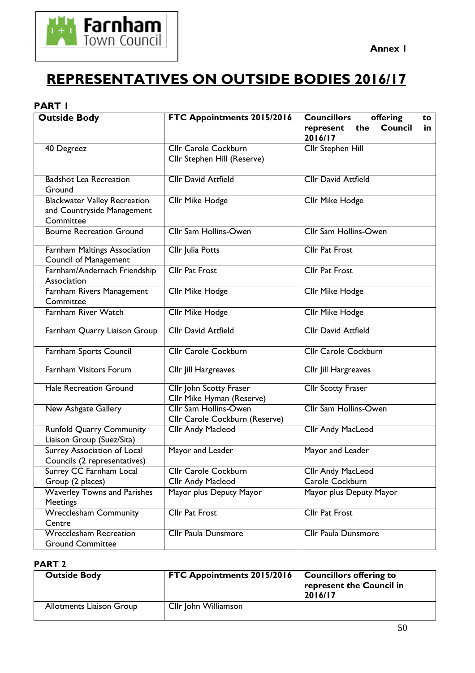

## **REPRESENTATIVES ON OUTSIDE BODIES 2016/17**

#### **PART 1**

| <b>Outside Body</b>                                          | FTC Appointments 2015/2016                                     | <b>Councillors</b><br>offering<br>to                |  |
|--------------------------------------------------------------|----------------------------------------------------------------|-----------------------------------------------------|--|
|                                                              |                                                                | <b>Council</b><br>the<br>represent<br>in<br>2016/17 |  |
| 40 Degreez                                                   | <b>Cllr Carole Cockburn</b>                                    | <b>Cllr Stephen Hill</b>                            |  |
|                                                              | Cllr Stephen Hill (Reserve)                                    |                                                     |  |
| <b>Badshot Lea Recreation</b><br>Ground                      | <b>Cllr David Attfield</b>                                     | <b>Cllr David Attfield</b>                          |  |
| <b>Blackwater Valley Recreation</b>                          | Cllr Mike Hodge                                                | Cllr Mike Hodge                                     |  |
| and Countryside Management                                   |                                                                |                                                     |  |
| Committee                                                    |                                                                |                                                     |  |
| <b>Bourne Recreation Ground</b>                              | <b>Cllr Sam Hollins-Owen</b>                                   | <b>Cllr Sam Hollins-Owen</b>                        |  |
| Farnham Maltings Association<br><b>Council of Management</b> | Cllr Julia Potts                                               | <b>Cllr Pat Frost</b>                               |  |
| Farnham/Andernach Friendship                                 | <b>Cllr Pat Frost</b>                                          | <b>Cllr Pat Frost</b>                               |  |
| Association                                                  |                                                                |                                                     |  |
| Farnham Rivers Management                                    | Cllr Mike Hodge                                                | Cllr Mike Hodge                                     |  |
| Committee                                                    |                                                                |                                                     |  |
| <b>Farnham River Watch</b>                                   | <b>Cllr Mike Hodge</b>                                         | <b>Cllr Mike Hodge</b>                              |  |
| Farnham Quarry Liaison Group                                 | <b>Cllr David Attfield</b>                                     | <b>Cllr David Attfield</b>                          |  |
| Farnham Sports Council                                       | <b>Cllr Carole Cockburn</b>                                    | <b>Cllr Carole Cockburn</b>                         |  |
| <b>Farnham Visitors Forum</b>                                | Cllr Jill Hargreaves                                           | <b>Cllr Jill Hargreaves</b>                         |  |
| <b>Hale Recreation Ground</b>                                | Cllr John Scotty Fraser<br>Cllr Mike Hyman (Reserve)           | <b>Cllr Scotty Fraser</b>                           |  |
| <b>New Ashgate Gallery</b>                                   | <b>Cllr Sam Hollins-Owen</b><br>Cllr Carole Cockburn (Reserve) | <b>Cllr Sam Hollins-Owen</b>                        |  |
| <b>Runfold Quarry Community</b><br>Liaison Group (Suez/Sita) | Cllr Andy Macleod                                              | <b>Cllr Andy MacLeod</b>                            |  |
| Surrey Association of Local<br>Councils (2 representatives)  | Mayor and Leader                                               | Mayor and Leader                                    |  |
| Surrey CC Farnham Local                                      | Cllr Carole Cockburn                                           | <b>Cllr Andy MacLeod</b>                            |  |
| Group (2 places)                                             | Cllr Andy Macleod                                              | Carole Cockburn                                     |  |
| <b>Waverley Towns and Parishes</b><br><b>Meetings</b>        | Mayor plus Deputy Mayor                                        | Mayor plus Deputy Mayor                             |  |
| <b>Wrecclesham Community</b><br>Centre                       | <b>Cllr Pat Frost</b>                                          | <b>Cllr Pat Frost</b>                               |  |
| <b>Wrecclesham Recreation</b><br><b>Ground Committee</b>     | <b>Cllr Paula Dunsmore</b>                                     | <b>Cllr Paula Dunsmore</b>                          |  |

#### **PART 2**

| <b>Outside Body</b>             | <b>FTC Appointments 2015/2016</b> | <b>Councillors offering to</b><br>represent the Council in<br>2016/17 |
|---------------------------------|-----------------------------------|-----------------------------------------------------------------------|
| <b>Allotments Liaison Group</b> | Cllr John Williamson              |                                                                       |